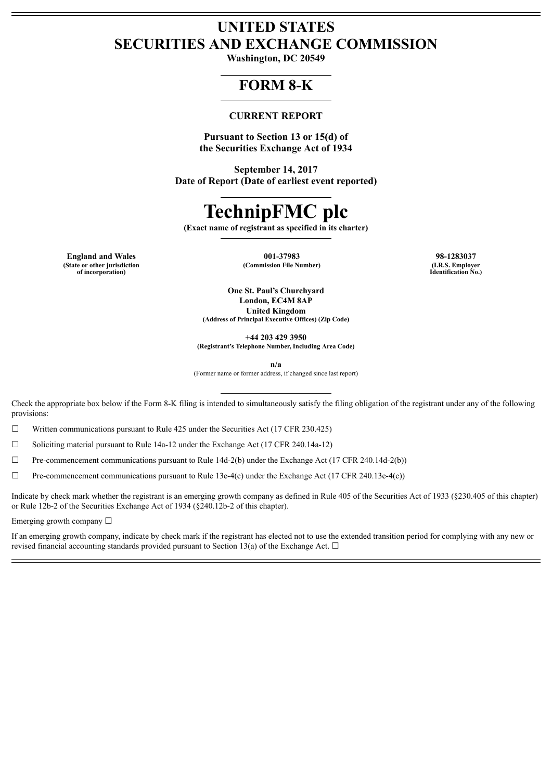# **UNITED STATES SECURITIES AND EXCHANGE COMMISSION**

**Washington, DC 20549**

## **FORM 8-K**

#### **CURRENT REPORT**

**Pursuant to Section 13 or 15(d) of the Securities Exchange Act of 1934**

**September 14, 2017 Date of Report (Date of earliest event reported)**

# **TechnipFMC plc**

**(Exact name of registrant as specified in its charter)**

**England and Wales 001-37983 98-1283037 (State or other jurisdiction of incorporation)**

 $(Commission File Number)$ 

**Identification No.)**

**One St. Paul's Churchyard London, EC4M 8AP United Kingdom (Address of Principal Executive Offices) (Zip Code)**

**+44 203 429 3950**

**(Registrant's Telephone Number, Including Area Code)**

**n/a**

(Former name or former address, if changed since last report)

Check the appropriate box below if the Form 8-K filing is intended to simultaneously satisfy the filing obligation of the registrant under any of the following provisions:

☐ Written communications pursuant to Rule 425 under the Securities Act (17 CFR 230.425)

 $\Box$  Soliciting material pursuant to Rule 14a-12 under the Exchange Act (17 CFR 240.14a-12)

 $\Box$  Pre-commencement communications pursuant to Rule 14d-2(b) under the Exchange Act (17 CFR 240.14d-2(b))

 $\Box$  Pre-commencement communications pursuant to Rule 13e-4(c) under the Exchange Act (17 CFR 240.13e-4(c))

Indicate by check mark whether the registrant is an emerging growth company as defined in Rule 405 of the Securities Act of 1933 (§230.405 of this chapter) or Rule 12b-2 of the Securities Exchange Act of 1934 (§240.12b-2 of this chapter).

Emerging growth company ☐

If an emerging growth company, indicate by check mark if the registrant has elected not to use the extended transition period for complying with any new or revised financial accounting standards provided pursuant to Section 13(a) of the Exchange Act.  $\Box$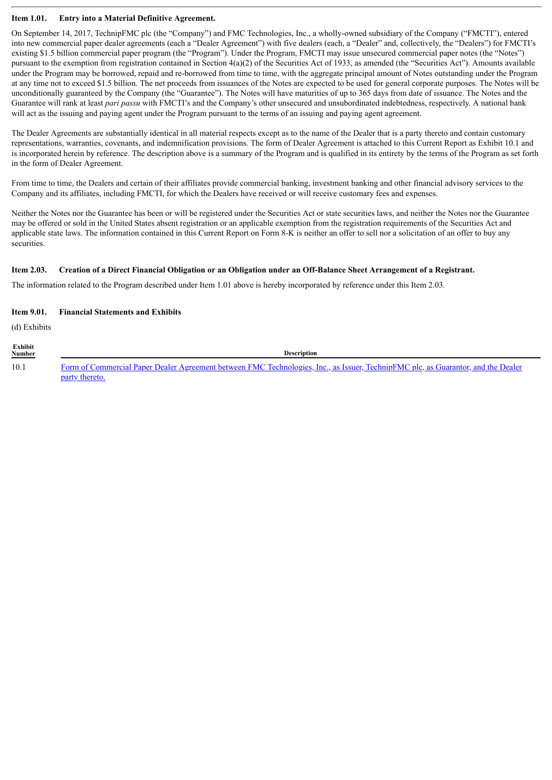#### **Item 1.01. Entry into a Material Definitive Agreement.**

On September 14, 2017, TechnipFMC plc (the "Company") and FMC Technologies, Inc., a wholly-owned subsidiary of the Company ("FMCTI"), entered into new commercial paper dealer agreements (each a "Dealer Agreement") with five dealers (each, a "Dealer" and, collectively, the "Dealers") for FMCTI's existing \$1.5 billion commercial paper program (the "Program"). Under the Program, FMCTI may issue unsecured commercial paper notes (the "Notes") pursuant to the exemption from registration contained in Section 4(a)(2) of the Securities Act of 1933, as amended (the "Securities Act"). Amounts available under the Program may be borrowed, repaid and re-borrowed from time to time, with the aggregate principal amount of Notes outstanding under the Program at any time not to exceed \$1.5 billion. The net proceeds from issuances of the Notes are expected to be used for general corporate purposes. The Notes will be unconditionally guaranteed by the Company (the "Guarantee"). The Notes will have maturities of up to 365 days from date of issuance. The Notes and the Guarantee will rank at least *pari passu* with FMCTI's and the Company's other unsecured and unsubordinated indebtedness, respectively. A national bank will act as the issuing and paying agent under the Program pursuant to the terms of an issuing and paying agent agreement.

The Dealer Agreements are substantially identical in all material respects except as to the name of the Dealer that is a party thereto and contain customary representations, warranties, covenants, and indemnification provisions. The form of Dealer Agreement is attached to this Current Report as Exhibit 10.1 and is incorporated herein by reference. The description above is a summary of the Program and is qualified in its entirety by the terms of the Program as set forth in the form of Dealer Agreement.

From time to time, the Dealers and certain of their affiliates provide commercial banking, investment banking and other financial advisory services to the Company and its affiliates, including FMCTI, for which the Dealers have received or will receive customary fees and expenses.

Neither the Notes nor the Guarantee has been or will be registered under the Securities Act or state securities laws, and neither the Notes nor the Guarantee may be offered or sold in the United States absent registration or an applicable exemption from the registration requirements of the Securities Act and applicable state laws. The information contained in this Current Report on Form 8-K is neither an offer to sell nor a solicitation of an offer to buy any securities.

#### Item 2.03. Creation of a Direct Financial Obligation or an Obligation under an Off-Balance Sheet Arrangement of a Registrant.

The information related to the Program described under Item 1.01 above is hereby incorporated by reference under this Item 2.03.

#### **Item 9.01. Financial Statements and Exhibits**

(d) Exhibits

**Exhibit Number Description** 10.1 Form of Commercial Paper Dealer Agreement between FMC [Technologies,](#page-3-0) Inc., as Issuer, TechnipFMC plc, as Guarantor, and the Dealer party thereto.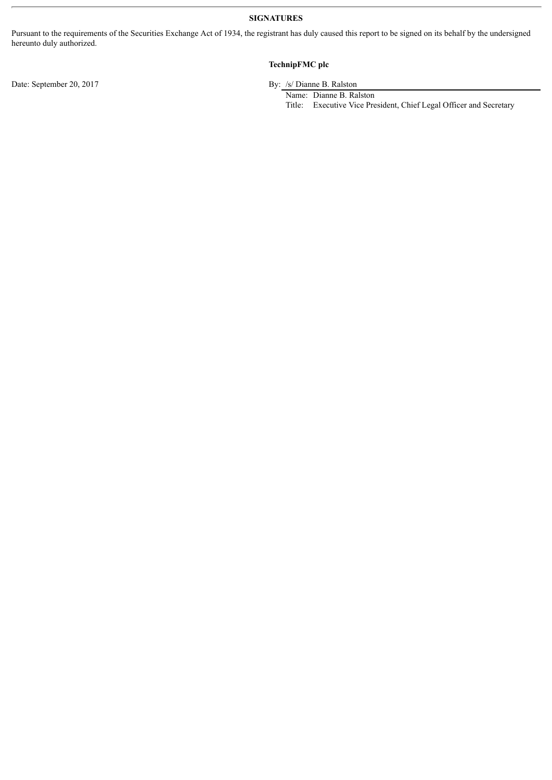#### **SIGNATURES**

Pursuant to the requirements of the Securities Exchange Act of 1934, the registrant has duly caused this report to be signed on its behalf by the undersigned hereunto duly authorized.

#### **TechnipFMC plc**

Date: September 20, 2017 By: /s/ Dianne B. Ralston

Name: Dianne B. Ralston

Title: Executive Vice President, Chief Legal Officer and Secretary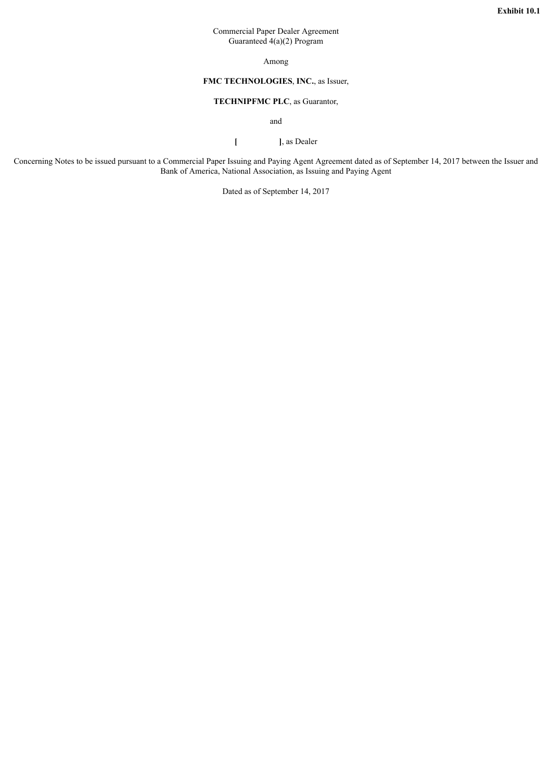#### Commercial Paper Dealer Agreement Guaranteed 4(a)(2) Program

Among

#### **FMC TECHNOLOGIES**, **INC.**, as Issuer,

#### **TECHNIPFMC PLC**, as Guarantor,

and

**[ ]**, as Dealer

<span id="page-3-0"></span>Concerning Notes to be issued pursuant to a Commercial Paper Issuing and Paying Agent Agreement dated as of September 14, 2017 between the Issuer and Bank of America, National Association, as Issuing and Paying Agent

Dated as of September 14, 2017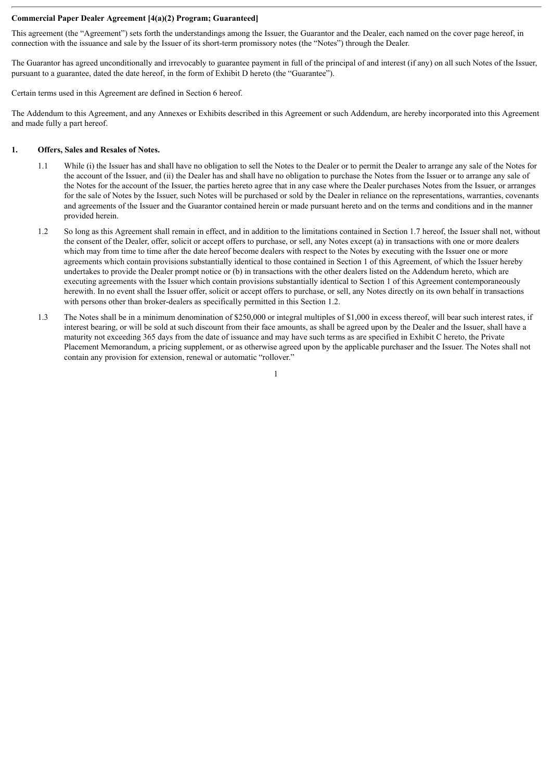#### **Commercial Paper Dealer Agreement [4(a)(2) Program; Guaranteed]**

This agreement (the "Agreement") sets forth the understandings among the Issuer, the Guarantor and the Dealer, each named on the cover page hereof, in connection with the issuance and sale by the Issuer of its short-term promissory notes (the "Notes") through the Dealer.

The Guarantor has agreed unconditionally and irrevocably to guarantee payment in full of the principal of and interest (if any) on all such Notes of the Issuer, pursuant to a guarantee, dated the date hereof, in the form of Exhibit D hereto (the "Guarantee").

Certain terms used in this Agreement are defined in Section 6 hereof.

The Addendum to this Agreement, and any Annexes or Exhibits described in this Agreement or such Addendum, are hereby incorporated into this Agreement and made fully a part hereof.

#### **1. Offers, Sales and Resales of Notes.**

- 1.1 While (i) the Issuer has and shall have no obligation to sell the Notes to the Dealer or to permit the Dealer to arrange any sale of the Notes for the account of the Issuer, and (ii) the Dealer has and shall have no obligation to purchase the Notes from the Issuer or to arrange any sale of the Notes for the account of the Issuer, the parties hereto agree that in any case where the Dealer purchases Notes from the Issuer, or arranges for the sale of Notes by the Issuer, such Notes will be purchased or sold by the Dealer in reliance on the representations, warranties, covenants and agreements of the Issuer and the Guarantor contained herein or made pursuant hereto and on the terms and conditions and in the manner provided herein.
- 1.2 So long as this Agreement shall remain in effect, and in addition to the limitations contained in Section 1.7 hereof, the Issuer shall not, without the consent of the Dealer, offer, solicit or accept offers to purchase, or sell, any Notes except (a) in transactions with one or more dealers which may from time to time after the date hereof become dealers with respect to the Notes by executing with the Issuer one or more agreements which contain provisions substantially identical to those contained in Section 1 of this Agreement, of which the Issuer hereby undertakes to provide the Dealer prompt notice or (b) in transactions with the other dealers listed on the Addendum hereto, which are executing agreements with the Issuer which contain provisions substantially identical to Section 1 of this Agreement contemporaneously herewith. In no event shall the Issuer offer, solicit or accept offers to purchase, or sell, any Notes directly on its own behalf in transactions with persons other than broker-dealers as specifically permitted in this Section 1.2.
- 1.3 The Notes shall be in a minimum denomination of \$250,000 or integral multiples of \$1,000 in excess thereof, will bear such interest rates, if interest bearing, or will be sold at such discount from their face amounts, as shall be agreed upon by the Dealer and the Issuer, shall have a maturity not exceeding 365 days from the date of issuance and may have such terms as are specified in Exhibit C hereto, the Private Placement Memorandum, a pricing supplement, or as otherwise agreed upon by the applicable purchaser and the Issuer. The Notes shall not contain any provision for extension, renewal or automatic "rollover."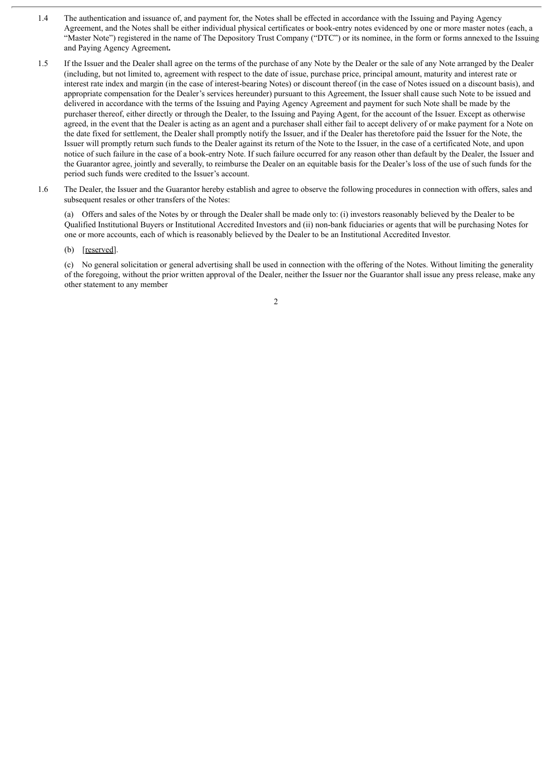- 1.4 The authentication and issuance of, and payment for, the Notes shall be effected in accordance with the Issuing and Paying Agency Agreement, and the Notes shall be either individual physical certificates or book-entry notes evidenced by one or more master notes (each, a "Master Note") registered in the name of The Depository Trust Company ("DTC") or its nominee, in the form or forms annexed to the Issuing and Paying Agency Agreement**.**
- 1.5 If the Issuer and the Dealer shall agree on the terms of the purchase of any Note by the Dealer or the sale of any Note arranged by the Dealer (including, but not limited to, agreement with respect to the date of issue, purchase price, principal amount, maturity and interest rate or interest rate index and margin (in the case of interest-bearing Notes) or discount thereof (in the case of Notes issued on a discount basis), and appropriate compensation for the Dealer's services hereunder) pursuant to this Agreement, the Issuer shall cause such Note to be issued and delivered in accordance with the terms of the Issuing and Paying Agency Agreement and payment for such Note shall be made by the purchaser thereof, either directly or through the Dealer, to the Issuing and Paying Agent, for the account of the Issuer. Except as otherwise agreed, in the event that the Dealer is acting as an agent and a purchaser shall either fail to accept delivery of or make payment for a Note on the date fixed for settlement, the Dealer shall promptly notify the Issuer, and if the Dealer has theretofore paid the Issuer for the Note, the Issuer will promptly return such funds to the Dealer against its return of the Note to the Issuer, in the case of a certificated Note, and upon notice of such failure in the case of a book-entry Note. If such failure occurred for any reason other than default by the Dealer, the Issuer and the Guarantor agree, jointly and severally, to reimburse the Dealer on an equitable basis for the Dealer's loss of the use of such funds for the period such funds were credited to the Issuer's account.
- 1.6 The Dealer, the Issuer and the Guarantor hereby establish and agree to observe the following procedures in connection with offers, sales and subsequent resales or other transfers of the Notes:

(a) Offers and sales of the Notes by or through the Dealer shall be made only to: (i) investors reasonably believed by the Dealer to be Qualified Institutional Buyers or Institutional Accredited Investors and (ii) non-bank fiduciaries or agents that will be purchasing Notes for one or more accounts, each of which is reasonably believed by the Dealer to be an Institutional Accredited Investor.

(b) [reserved].

(c) No general solicitation or general advertising shall be used in connection with the offering of the Notes. Without limiting the generality of the foregoing, without the prior written approval of the Dealer, neither the Issuer nor the Guarantor shall issue any press release, make any other statement to any member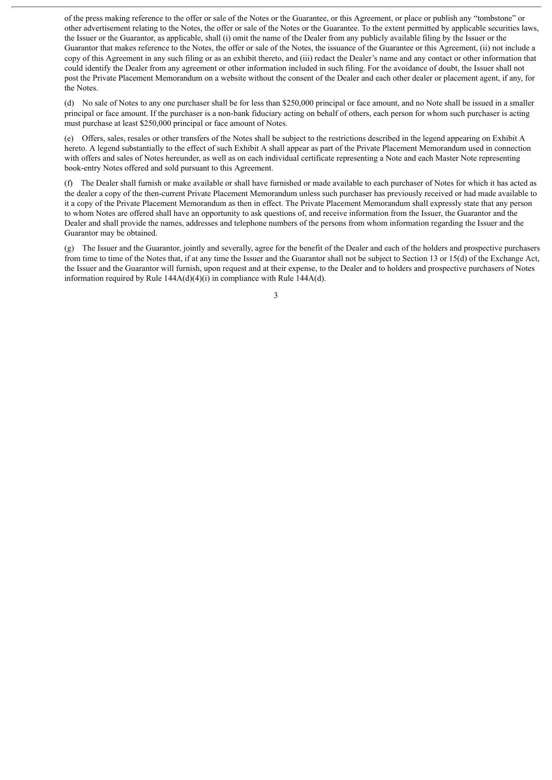of the press making reference to the offer or sale of the Notes or the Guarantee, or this Agreement, or place or publish any "tombstone" or other advertisement relating to the Notes, the offer or sale of the Notes or the Guarantee. To the extent permitted by applicable securities laws, the Issuer or the Guarantor, as applicable, shall (i) omit the name of the Dealer from any publicly available filing by the Issuer or the Guarantor that makes reference to the Notes, the offer or sale of the Notes, the issuance of the Guarantee or this Agreement, (ii) not include a copy of this Agreement in any such filing or as an exhibit thereto, and (iii) redact the Dealer's name and any contact or other information that could identify the Dealer from any agreement or other information included in such filing. For the avoidance of doubt, the Issuer shall not post the Private Placement Memorandum on a website without the consent of the Dealer and each other dealer or placement agent, if any, for the Notes.

(d) No sale of Notes to any one purchaser shall be for less than \$250,000 principal or face amount, and no Note shall be issued in a smaller principal or face amount. If the purchaser is a non-bank fiduciary acting on behalf of others, each person for whom such purchaser is acting must purchase at least \$250,000 principal or face amount of Notes.

(e) Offers, sales, resales or other transfers of the Notes shall be subject to the restrictions described in the legend appearing on Exhibit A hereto. A legend substantially to the effect of such Exhibit A shall appear as part of the Private Placement Memorandum used in connection with offers and sales of Notes hereunder, as well as on each individual certificate representing a Note and each Master Note representing book-entry Notes offered and sold pursuant to this Agreement.

(f) The Dealer shall furnish or make available or shall have furnished or made available to each purchaser of Notes for which it has acted as the dealer a copy of the then-current Private Placement Memorandum unless such purchaser has previously received or had made available to it a copy of the Private Placement Memorandum as then in effect. The Private Placement Memorandum shall expressly state that any person to whom Notes are offered shall have an opportunity to ask questions of, and receive information from the Issuer, the Guarantor and the Dealer and shall provide the names, addresses and telephone numbers of the persons from whom information regarding the Issuer and the Guarantor may be obtained.

(g) The Issuer and the Guarantor, jointly and severally, agree for the benefit of the Dealer and each of the holders and prospective purchasers from time to time of the Notes that, if at any time the Issuer and the Guarantor shall not be subject to Section 13 or 15(d) of the Exchange Act, the Issuer and the Guarantor will furnish, upon request and at their expense, to the Dealer and to holders and prospective purchasers of Notes information required by Rule  $144A(d)(4)(i)$  in compliance with Rule  $144A(d)$ .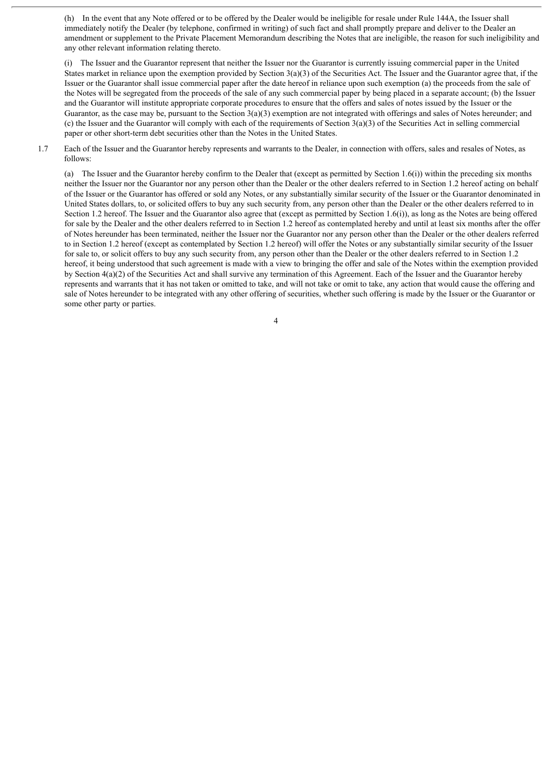(h) In the event that any Note offered or to be offered by the Dealer would be ineligible for resale under Rule 144A, the Issuer shall immediately notify the Dealer (by telephone, confirmed in writing) of such fact and shall promptly prepare and deliver to the Dealer an amendment or supplement to the Private Placement Memorandum describing the Notes that are ineligible, the reason for such ineligibility and any other relevant information relating thereto.

(i) The Issuer and the Guarantor represent that neither the Issuer nor the Guarantor is currently issuing commercial paper in the United States market in reliance upon the exemption provided by Section 3(a)(3) of the Securities Act. The Issuer and the Guarantor agree that, if the Issuer or the Guarantor shall issue commercial paper after the date hereof in reliance upon such exemption (a) the proceeds from the sale of the Notes will be segregated from the proceeds of the sale of any such commercial paper by being placed in a separate account; (b) the Issuer and the Guarantor will institute appropriate corporate procedures to ensure that the offers and sales of notes issued by the Issuer or the Guarantor, as the case may be, pursuant to the Section  $3(a)(3)$  exemption are not integrated with offerings and sales of Notes hereunder; and (c) the Issuer and the Guarantor will comply with each of the requirements of Section  $3(a)(3)$  of the Securities Act in selling commercial paper or other short-term debt securities other than the Notes in the United States.

1.7 Each of the Issuer and the Guarantor hereby represents and warrants to the Dealer, in connection with offers, sales and resales of Notes, as follows:

(a) The Issuer and the Guarantor hereby confirm to the Dealer that (except as permitted by Section 1.6(i)) within the preceding six months neither the Issuer nor the Guarantor nor any person other than the Dealer or the other dealers referred to in Section 1.2 hereof acting on behalf of the Issuer or the Guarantor has offered or sold any Notes, or any substantially similar security of the Issuer or the Guarantor denominated in United States dollars, to, or solicited offers to buy any such security from, any person other than the Dealer or the other dealers referred to in Section 1.2 hereof. The Issuer and the Guarantor also agree that (except as permitted by Section 1.6(i)), as long as the Notes are being offered for sale by the Dealer and the other dealers referred to in Section 1.2 hereof as contemplated hereby and until at least six months after the offer of Notes hereunder has been terminated, neither the Issuer nor the Guarantor nor any person other than the Dealer or the other dealers referred to in Section 1.2 hereof (except as contemplated by Section 1.2 hereof) will offer the Notes or any substantially similar security of the Issuer for sale to, or solicit offers to buy any such security from, any person other than the Dealer or the other dealers referred to in Section 1.2 hereof, it being understood that such agreement is made with a view to bringing the offer and sale of the Notes within the exemption provided by Section 4(a)(2) of the Securities Act and shall survive any termination of this Agreement. Each of the Issuer and the Guarantor hereby represents and warrants that it has not taken or omitted to take, and will not take or omit to take, any action that would cause the offering and sale of Notes hereunder to be integrated with any other offering of securities, whether such offering is made by the Issuer or the Guarantor or some other party or parties.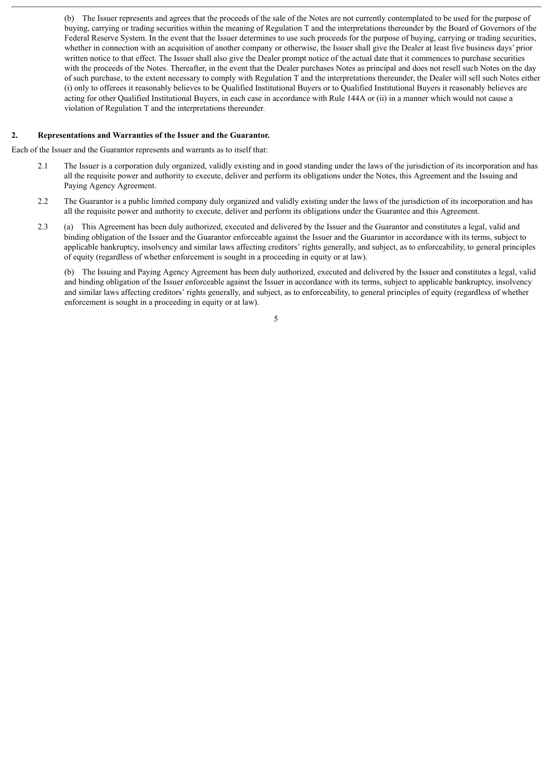(b) The Issuer represents and agrees that the proceeds of the sale of the Notes are not currently contemplated to be used for the purpose of buying, carrying or trading securities within the meaning of Regulation T and the interpretations thereunder by the Board of Governors of the Federal Reserve System. In the event that the Issuer determines to use such proceeds for the purpose of buying, carrying or trading securities, whether in connection with an acquisition of another company or otherwise, the Issuer shall give the Dealer at least five business days' prior written notice to that effect. The Issuer shall also give the Dealer prompt notice of the actual date that it commences to purchase securities with the proceeds of the Notes. Thereafter, in the event that the Dealer purchases Notes as principal and does not resell such Notes on the day of such purchase, to the extent necessary to comply with Regulation T and the interpretations thereunder, the Dealer will sell such Notes either (i) only to offerees it reasonably believes to be Qualified Institutional Buyers or to Qualified Institutional Buyers it reasonably believes are acting for other Qualified Institutional Buyers, in each case in accordance with Rule 144A or (ii) in a manner which would not cause a violation of Regulation T and the interpretations thereunder.

#### **2. Representations and Warranties of the Issuer and the Guarantor.**

Each of the Issuer and the Guarantor represents and warrants as to itself that:

- 2.1 The Issuer is a corporation duly organized, validly existing and in good standing under the laws of the jurisdiction of its incorporation and has all the requisite power and authority to execute, deliver and perform its obligations under the Notes, this Agreement and the Issuing and Paying Agency Agreement.
- 2.2 The Guarantor is a public limited company duly organized and validly existing under the laws of the jurisdiction of its incorporation and has all the requisite power and authority to execute, deliver and perform its obligations under the Guarantee and this Agreement.
- 2.3 (a) This Agreement has been duly authorized, executed and delivered by the Issuer and the Guarantor and constitutes a legal, valid and binding obligation of the Issuer and the Guarantor enforceable against the Issuer and the Guarantor in accordance with its terms, subject to applicable bankruptcy, insolvency and similar laws affecting creditors' rights generally, and subject, as to enforceability, to general principles of equity (regardless of whether enforcement is sought in a proceeding in equity or at law).

(b) The Issuing and Paying Agency Agreement has been duly authorized, executed and delivered by the Issuer and constitutes a legal, valid and binding obligation of the Issuer enforceable against the Issuer in accordance with its terms, subject to applicable bankruptcy, insolvency and similar laws affecting creditors' rights generally, and subject, as to enforceability, to general principles of equity (regardless of whether enforcement is sought in a proceeding in equity or at law).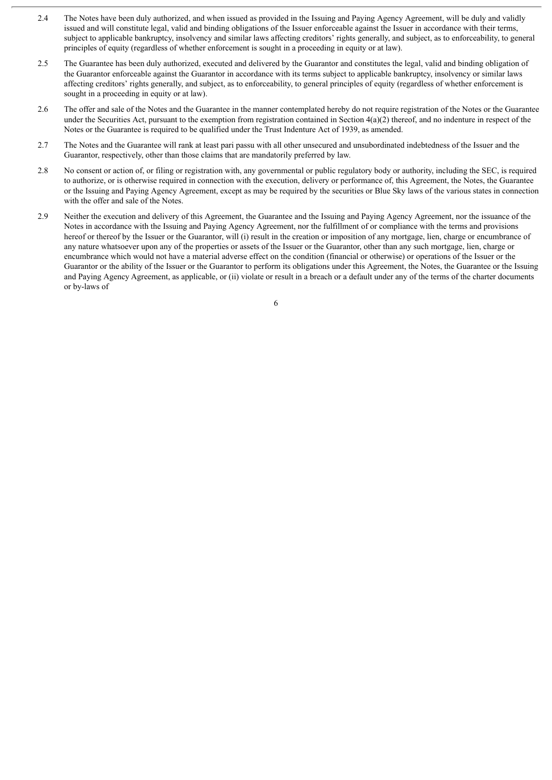- 2.4 The Notes have been duly authorized, and when issued as provided in the Issuing and Paying Agency Agreement, will be duly and validly issued and will constitute legal, valid and binding obligations of the Issuer enforceable against the Issuer in accordance with their terms, subject to applicable bankruptcy, insolvency and similar laws affecting creditors' rights generally, and subject, as to enforceability, to general principles of equity (regardless of whether enforcement is sought in a proceeding in equity or at law).
- 2.5 The Guarantee has been duly authorized, executed and delivered by the Guarantor and constitutes the legal, valid and binding obligation of the Guarantor enforceable against the Guarantor in accordance with its terms subject to applicable bankruptcy, insolvency or similar laws affecting creditors' rights generally, and subject, as to enforceability, to general principles of equity (regardless of whether enforcement is sought in a proceeding in equity or at law).
- 2.6 The offer and sale of the Notes and the Guarantee in the manner contemplated hereby do not require registration of the Notes or the Guarantee under the Securities Act, pursuant to the exemption from registration contained in Section  $4(a)(2)$  thereof, and no indenture in respect of the Notes or the Guarantee is required to be qualified under the Trust Indenture Act of 1939, as amended.
- 2.7 The Notes and the Guarantee will rank at least pari passu with all other unsecured and unsubordinated indebtedness of the Issuer and the Guarantor, respectively, other than those claims that are mandatorily preferred by law.
- 2.8 No consent or action of, or filing or registration with, any governmental or public regulatory body or authority, including the SEC, is required to authorize, or is otherwise required in connection with the execution, delivery or performance of, this Agreement, the Notes, the Guarantee or the Issuing and Paying Agency Agreement, except as may be required by the securities or Blue Sky laws of the various states in connection with the offer and sale of the Notes.
- 2.9 Neither the execution and delivery of this Agreement, the Guarantee and the Issuing and Paying Agency Agreement, nor the issuance of the Notes in accordance with the Issuing and Paying Agency Agreement, nor the fulfillment of or compliance with the terms and provisions hereof or thereof by the Issuer or the Guarantor, will (i) result in the creation or imposition of any mortgage, lien, charge or encumbrance of any nature whatsoever upon any of the properties or assets of the Issuer or the Guarantor, other than any such mortgage, lien, charge or encumbrance which would not have a material adverse effect on the condition (financial or otherwise) or operations of the Issuer or the Guarantor or the ability of the Issuer or the Guarantor to perform its obligations under this Agreement, the Notes, the Guarantee or the Issuing and Paying Agency Agreement, as applicable, or (ii) violate or result in a breach or a default under any of the terms of the charter documents or by-laws of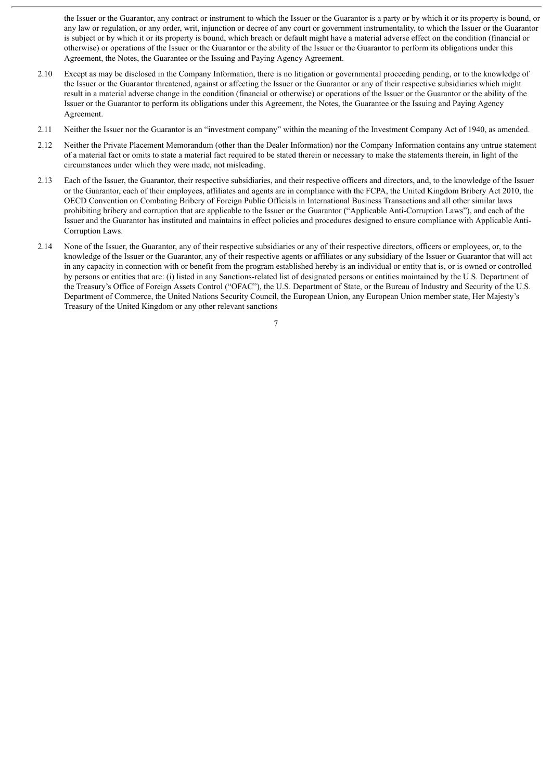the Issuer or the Guarantor, any contract or instrument to which the Issuer or the Guarantor is a party or by which it or its property is bound, or any law or regulation, or any order, writ, injunction or decree of any court or government instrumentality, to which the Issuer or the Guarantor is subject or by which it or its property is bound, which breach or default might have a material adverse effect on the condition (financial or otherwise) or operations of the Issuer or the Guarantor or the ability of the Issuer or the Guarantor to perform its obligations under this Agreement, the Notes, the Guarantee or the Issuing and Paying Agency Agreement.

- 2.10 Except as may be disclosed in the Company Information, there is no litigation or governmental proceeding pending, or to the knowledge of the Issuer or the Guarantor threatened, against or affecting the Issuer or the Guarantor or any of their respective subsidiaries which might result in a material adverse change in the condition (financial or otherwise) or operations of the Issuer or the Guarantor or the ability of the Issuer or the Guarantor to perform its obligations under this Agreement, the Notes, the Guarantee or the Issuing and Paying Agency Agreement.
- 2.11 Neither the Issuer nor the Guarantor is an "investment company" within the meaning of the Investment Company Act of 1940, as amended.
- 2.12 Neither the Private Placement Memorandum (other than the Dealer Information) nor the Company Information contains any untrue statement of a material fact or omits to state a material fact required to be stated therein or necessary to make the statements therein, in light of the circumstances under which they were made, not misleading.
- 2.13 Each of the Issuer, the Guarantor, their respective subsidiaries, and their respective officers and directors, and, to the knowledge of the Issuer or the Guarantor, each of their employees, affiliates and agents are in compliance with the FCPA, the United Kingdom Bribery Act 2010, the OECD Convention on Combating Bribery of Foreign Public Officials in International Business Transactions and all other similar laws prohibiting bribery and corruption that are applicable to the Issuer or the Guarantor ("Applicable Anti-Corruption Laws"), and each of the Issuer and the Guarantor has instituted and maintains in effect policies and procedures designed to ensure compliance with Applicable Anti-Corruption Laws.
- 2.14 None of the Issuer, the Guarantor, any of their respective subsidiaries or any of their respective directors, officers or employees, or, to the knowledge of the Issuer or the Guarantor, any of their respective agents or affiliates or any subsidiary of the Issuer or Guarantor that will act in any capacity in connection with or benefit from the program established hereby is an individual or entity that is, or is owned or controlled by persons or entities that are: (i) listed in any Sanctions-related list of designated persons or entities maintained by the U.S. Department of the Treasury's Office of Foreign Assets Control ("OFAC"), the U.S. Department of State, or the Bureau of Industry and Security of the U.S. Department of Commerce, the United Nations Security Council, the European Union, any European Union member state, Her Majesty's Treasury of the United Kingdom or any other relevant sanctions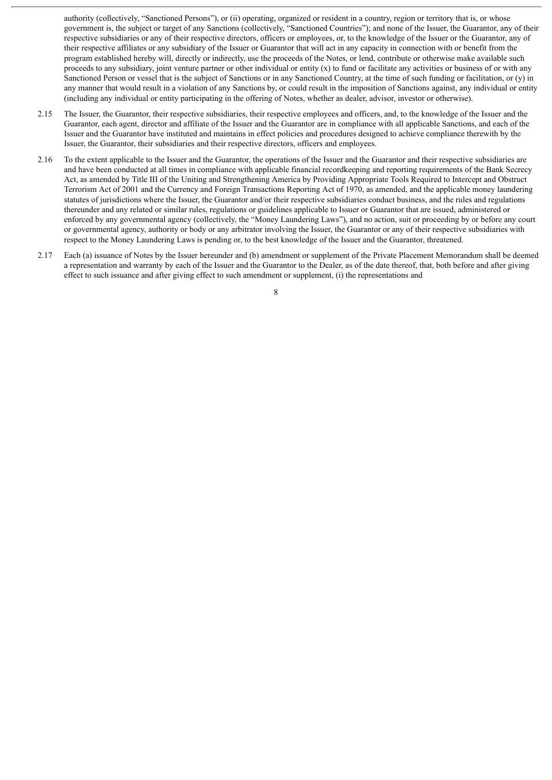authority (collectively, "Sanctioned Persons"), or (ii) operating, organized or resident in a country, region or territory that is, or whose government is, the subject or target of any Sanctions (collectively, "Sanctioned Countries"); and none of the Issuer, the Guarantor, any of their respective subsidiaries or any of their respective directors, officers or employees, or, to the knowledge of the Issuer or the Guarantor, any of their respective affiliates or any subsidiary of the Issuer or Guarantor that will act in any capacity in connection with or benefit from the program established hereby will, directly or indirectly, use the proceeds of the Notes, or lend, contribute or otherwise make available such proceeds to any subsidiary, joint venture partner or other individual or entity  $(x)$  to fund or facilitate any activities or business of or with any Sanctioned Person or vessel that is the subject of Sanctions or in any Sanctioned Country, at the time of such funding or facilitation, or (y) in any manner that would result in a violation of any Sanctions by, or could result in the imposition of Sanctions against, any individual or entity (including any individual or entity participating in the offering of Notes, whether as dealer, advisor, investor or otherwise).

- 2.15 The Issuer, the Guarantor, their respective subsidiaries, their respective employees and officers, and, to the knowledge of the Issuer and the Guarantor, each agent, director and affiliate of the Issuer and the Guarantor are in compliance with all applicable Sanctions, and each of the Issuer and the Guarantor have instituted and maintains in effect policies and procedures designed to achieve compliance therewith by the Issuer, the Guarantor, their subsidiaries and their respective directors, officers and employees.
- 2.16 To the extent applicable to the Issuer and the Guarantor, the operations of the Issuer and the Guarantor and their respective subsidiaries are and have been conducted at all times in compliance with applicable financial recordkeeping and reporting requirements of the Bank Secrecy Act, as amended by Title III of the Uniting and Strengthening America by Providing Appropriate Tools Required to Intercept and Obstruct Terrorism Act of 2001 and the Currency and Foreign Transactions Reporting Act of 1970, as amended, and the applicable money laundering statutes of jurisdictions where the Issuer, the Guarantor and/or their respective subsidiaries conduct business, and the rules and regulations thereunder and any related or similar rules, regulations or guidelines applicable to Issuer or Guarantor that are issued, administered or enforced by any governmental agency (collectively, the "Money Laundering Laws"), and no action, suit or proceeding by or before any court or governmental agency, authority or body or any arbitrator involving the Issuer, the Guarantor or any of their respective subsidiaries with respect to the Money Laundering Laws is pending or, to the best knowledge of the Issuer and the Guarantor, threatened.
- 2.17 Each (a) issuance of Notes by the Issuer hereunder and (b) amendment or supplement of the Private Placement Memorandum shall be deemed a representation and warranty by each of the Issuer and the Guarantor to the Dealer, as of the date thereof, that, both before and after giving effect to such issuance and after giving effect to such amendment or supplement, (i) the representations and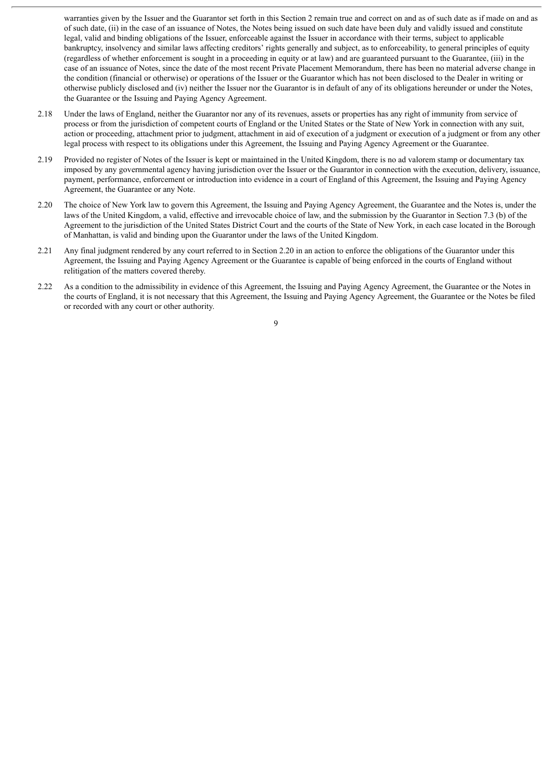warranties given by the Issuer and the Guarantor set forth in this Section 2 remain true and correct on and as of such date as if made on and as of such date, (ii) in the case of an issuance of Notes, the Notes being issued on such date have been duly and validly issued and constitute legal, valid and binding obligations of the Issuer, enforceable against the Issuer in accordance with their terms, subject to applicable bankruptcy, insolvency and similar laws affecting creditors' rights generally and subject, as to enforceability, to general principles of equity (regardless of whether enforcement is sought in a proceeding in equity or at law) and are guaranteed pursuant to the Guarantee, (iii) in the case of an issuance of Notes, since the date of the most recent Private Placement Memorandum, there has been no material adverse change in the condition (financial or otherwise) or operations of the Issuer or the Guarantor which has not been disclosed to the Dealer in writing or otherwise publicly disclosed and (iv) neither the Issuer nor the Guarantor is in default of any of its obligations hereunder or under the Notes, the Guarantee or the Issuing and Paying Agency Agreement.

- 2.18 Under the laws of England, neither the Guarantor nor any of its revenues, assets or properties has any right of immunity from service of process or from the jurisdiction of competent courts of England or the United States or the State of New York in connection with any suit, action or proceeding, attachment prior to judgment, attachment in aid of execution of a judgment or execution of a judgment or from any other legal process with respect to its obligations under this Agreement, the Issuing and Paying Agency Agreement or the Guarantee.
- 2.19 Provided no register of Notes of the Issuer is kept or maintained in the United Kingdom, there is no ad valorem stamp or documentary tax imposed by any governmental agency having jurisdiction over the Issuer or the Guarantor in connection with the execution, delivery, issuance, payment, performance, enforcement or introduction into evidence in a court of England of this Agreement, the Issuing and Paying Agency Agreement, the Guarantee or any Note.
- 2.20 The choice of New York law to govern this Agreement, the Issuing and Paying Agency Agreement, the Guarantee and the Notes is, under the laws of the United Kingdom, a valid, effective and irrevocable choice of law, and the submission by the Guarantor in Section 7.3 (b) of the Agreement to the jurisdiction of the United States District Court and the courts of the State of New York, in each case located in the Borough of Manhattan, is valid and binding upon the Guarantor under the laws of the United Kingdom.
- 2.21 Any final judgment rendered by any court referred to in Section 2.20 in an action to enforce the obligations of the Guarantor under this Agreement, the Issuing and Paying Agency Agreement or the Guarantee is capable of being enforced in the courts of England without relitigation of the matters covered thereby.
- 2.22 As a condition to the admissibility in evidence of this Agreement, the Issuing and Paying Agency Agreement, the Guarantee or the Notes in the courts of England, it is not necessary that this Agreement, the Issuing and Paying Agency Agreement, the Guarantee or the Notes be filed or recorded with any court or other authority.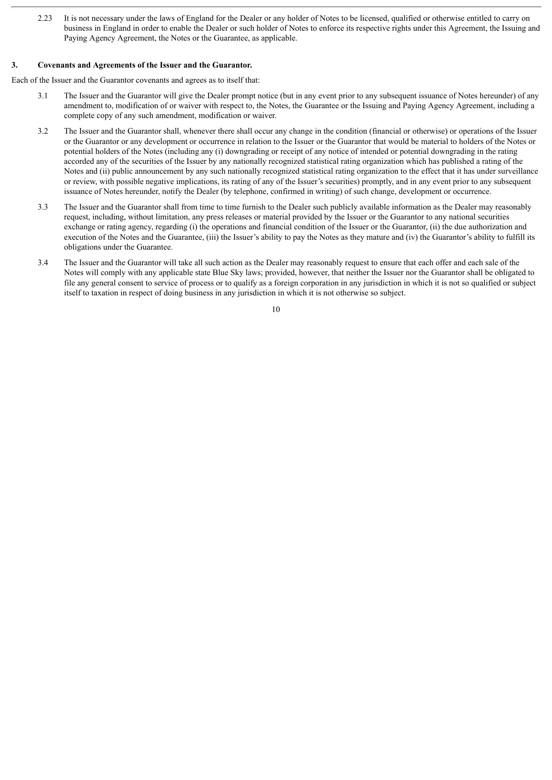2.23 It is not necessary under the laws of England for the Dealer or any holder of Notes to be licensed, qualified or otherwise entitled to carry on business in England in order to enable the Dealer or such holder of Notes to enforce its respective rights under this Agreement, the Issuing and Paying Agency Agreement, the Notes or the Guarantee, as applicable.

#### **3. Covenants and Agreements of the Issuer and the Guarantor.**

Each of the Issuer and the Guarantor covenants and agrees as to itself that:

- 3.1 The Issuer and the Guarantor will give the Dealer prompt notice (but in any event prior to any subsequent issuance of Notes hereunder) of any amendment to, modification of or waiver with respect to, the Notes, the Guarantee or the Issuing and Paying Agency Agreement, including a complete copy of any such amendment, modification or waiver.
- 3.2 The Issuer and the Guarantor shall, whenever there shall occur any change in the condition (financial or otherwise) or operations of the Issuer or the Guarantor or any development or occurrence in relation to the Issuer or the Guarantor that would be material to holders of the Notes or potential holders of the Notes (including any (i) downgrading or receipt of any notice of intended or potential downgrading in the rating accorded any of the securities of the Issuer by any nationally recognized statistical rating organization which has published a rating of the Notes and (ii) public announcement by any such nationally recognized statistical rating organization to the effect that it has under surveillance or review, with possible negative implications, its rating of any of the Issuer's securities) promptly, and in any event prior to any subsequent issuance of Notes hereunder, notify the Dealer (by telephone, confirmed in writing) of such change, development or occurrence.
- 3.3 The Issuer and the Guarantor shall from time to time furnish to the Dealer such publicly available information as the Dealer may reasonably request, including, without limitation, any press releases or material provided by the Issuer or the Guarantor to any national securities exchange or rating agency, regarding (i) the operations and financial condition of the Issuer or the Guarantor, (ii) the due authorization and execution of the Notes and the Guarantee, (iii) the Issuer's ability to pay the Notes as they mature and (iv) the Guarantor's ability to fulfill its obligations under the Guarantee.
- 3.4 The Issuer and the Guarantor will take all such action as the Dealer may reasonably request to ensure that each offer and each sale of the Notes will comply with any applicable state Blue Sky laws; provided, however, that neither the Issuer nor the Guarantor shall be obligated to file any general consent to service of process or to qualify as a foreign corporation in any jurisdiction in which it is not so qualified or subject itself to taxation in respect of doing business in any jurisdiction in which it is not otherwise so subject.

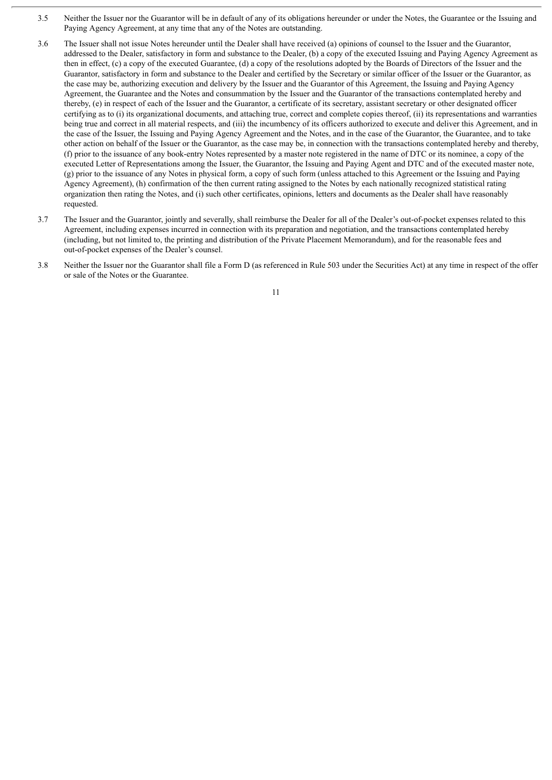- 3.5 Neither the Issuer nor the Guarantor will be in default of any of its obligations hereunder or under the Notes, the Guarantee or the Issuing and Paying Agency Agreement, at any time that any of the Notes are outstanding.
- 3.6 The Issuer shall not issue Notes hereunder until the Dealer shall have received (a) opinions of counsel to the Issuer and the Guarantor, addressed to the Dealer, satisfactory in form and substance to the Dealer, (b) a copy of the executed Issuing and Paying Agency Agreement as then in effect, (c) a copy of the executed Guarantee, (d) a copy of the resolutions adopted by the Boards of Directors of the Issuer and the Guarantor, satisfactory in form and substance to the Dealer and certified by the Secretary or similar officer of the Issuer or the Guarantor, as the case may be, authorizing execution and delivery by the Issuer and the Guarantor of this Agreement, the Issuing and Paying Agency Agreement, the Guarantee and the Notes and consummation by the Issuer and the Guarantor of the transactions contemplated hereby and thereby, (e) in respect of each of the Issuer and the Guarantor, a certificate of its secretary, assistant secretary or other designated officer certifying as to (i) its organizational documents, and attaching true, correct and complete copies thereof, (ii) its representations and warranties being true and correct in all material respects, and (iii) the incumbency of its officers authorized to execute and deliver this Agreement, and in the case of the Issuer, the Issuing and Paying Agency Agreement and the Notes, and in the case of the Guarantor, the Guarantee, and to take other action on behalf of the Issuer or the Guarantor, as the case may be, in connection with the transactions contemplated hereby and thereby, (f) prior to the issuance of any book-entry Notes represented by a master note registered in the name of DTC or its nominee, a copy of the executed Letter of Representations among the Issuer, the Guarantor, the Issuing and Paying Agent and DTC and of the executed master note, (g) prior to the issuance of any Notes in physical form, a copy of such form (unless attached to this Agreement or the Issuing and Paying Agency Agreement), (h) confirmation of the then current rating assigned to the Notes by each nationally recognized statistical rating organization then rating the Notes, and (i) such other certificates, opinions, letters and documents as the Dealer shall have reasonably requested.
- 3.7 The Issuer and the Guarantor, jointly and severally, shall reimburse the Dealer for all of the Dealer's out-of-pocket expenses related to this Agreement, including expenses incurred in connection with its preparation and negotiation, and the transactions contemplated hereby (including, but not limited to, the printing and distribution of the Private Placement Memorandum), and for the reasonable fees and out-of-pocket expenses of the Dealer's counsel.
- 3.8 Neither the Issuer nor the Guarantor shall file a Form D (as referenced in Rule 503 under the Securities Act) at any time in respect of the offer or sale of the Notes or the Guarantee.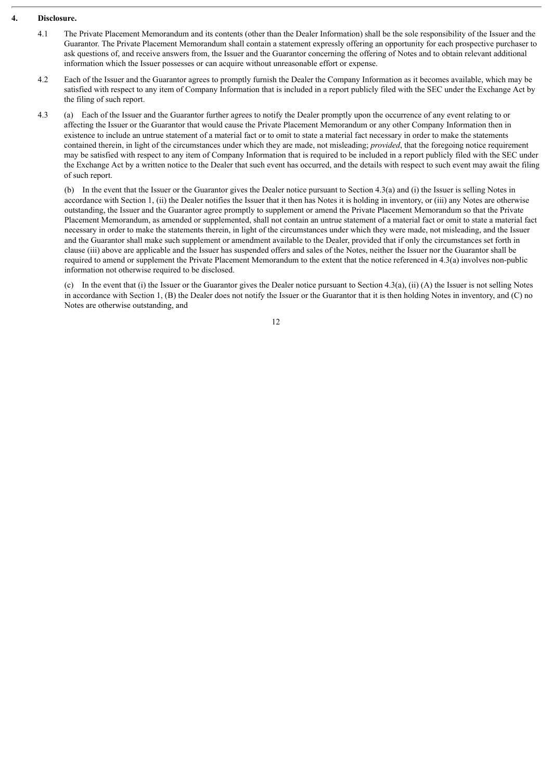#### **4. Disclosure.**

- 4.1 The Private Placement Memorandum and its contents (other than the Dealer Information) shall be the sole responsibility of the Issuer and the Guarantor. The Private Placement Memorandum shall contain a statement expressly offering an opportunity for each prospective purchaser to ask questions of, and receive answers from, the Issuer and the Guarantor concerning the offering of Notes and to obtain relevant additional information which the Issuer possesses or can acquire without unreasonable effort or expense.
- 4.2 Each of the Issuer and the Guarantor agrees to promptly furnish the Dealer the Company Information as it becomes available, which may be satisfied with respect to any item of Company Information that is included in a report publicly filed with the SEC under the Exchange Act by the filing of such report.
- 4.3 (a) Each of the Issuer and the Guarantor further agrees to notify the Dealer promptly upon the occurrence of any event relating to or affecting the Issuer or the Guarantor that would cause the Private Placement Memorandum or any other Company Information then in existence to include an untrue statement of a material fact or to omit to state a material fact necessary in order to make the statements contained therein, in light of the circumstances under which they are made, not misleading; *provided*, that the foregoing notice requirement may be satisfied with respect to any item of Company Information that is required to be included in a report publicly filed with the SEC under the Exchange Act by a written notice to the Dealer that such event has occurred, and the details with respect to such event may await the filing of such report.

(b) In the event that the Issuer or the Guarantor gives the Dealer notice pursuant to Section 4.3(a) and (i) the Issuer is selling Notes in accordance with Section 1, (ii) the Dealer notifies the Issuer that it then has Notes it is holding in inventory, or (iii) any Notes are otherwise outstanding, the Issuer and the Guarantor agree promptly to supplement or amend the Private Placement Memorandum so that the Private Placement Memorandum, as amended or supplemented, shall not contain an untrue statement of a material fact or omit to state a material fact necessary in order to make the statements therein, in light of the circumstances under which they were made, not misleading, and the Issuer and the Guarantor shall make such supplement or amendment available to the Dealer, provided that if only the circumstances set forth in clause (iii) above are applicable and the Issuer has suspended offers and sales of the Notes, neither the Issuer nor the Guarantor shall be required to amend or supplement the Private Placement Memorandum to the extent that the notice referenced in 4.3(a) involves non-public information not otherwise required to be disclosed.

(c) In the event that (i) the Issuer or the Guarantor gives the Dealer notice pursuant to Section 4.3(a), (ii) (A) the Issuer is not selling Notes in accordance with Section 1, (B) the Dealer does not notify the Issuer or the Guarantor that it is then holding Notes in inventory, and (C) no Notes are otherwise outstanding, and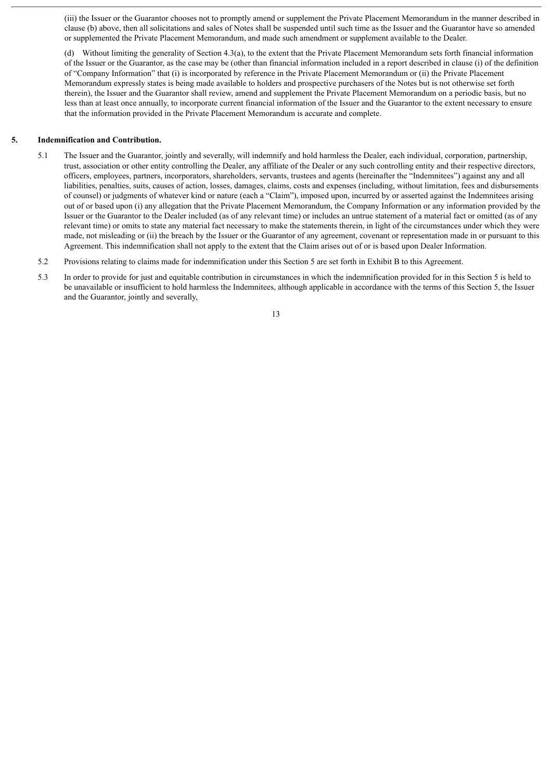(iii) the Issuer or the Guarantor chooses not to promptly amend or supplement the Private Placement Memorandum in the manner described in clause (b) above, then all solicitations and sales of Notes shall be suspended until such time as the Issuer and the Guarantor have so amended or supplemented the Private Placement Memorandum, and made such amendment or supplement available to the Dealer.

(d) Without limiting the generality of Section 4.3(a), to the extent that the Private Placement Memorandum sets forth financial information of the Issuer or the Guarantor, as the case may be (other than financial information included in a report described in clause (i) of the definition of "Company Information" that (i) is incorporated by reference in the Private Placement Memorandum or (ii) the Private Placement Memorandum expressly states is being made available to holders and prospective purchasers of the Notes but is not otherwise set forth therein), the Issuer and the Guarantor shall review, amend and supplement the Private Placement Memorandum on a periodic basis, but no less than at least once annually, to incorporate current financial information of the Issuer and the Guarantor to the extent necessary to ensure that the information provided in the Private Placement Memorandum is accurate and complete.

#### **5. Indemnification and Contribution.**

- 5.1 The Issuer and the Guarantor, jointly and severally, will indemnify and hold harmless the Dealer, each individual, corporation, partnership, trust, association or other entity controlling the Dealer, any affiliate of the Dealer or any such controlling entity and their respective directors, officers, employees, partners, incorporators, shareholders, servants, trustees and agents (hereinafter the "Indemnitees") against any and all liabilities, penalties, suits, causes of action, losses, damages, claims, costs and expenses (including, without limitation, fees and disbursements of counsel) or judgments of whatever kind or nature (each a "Claim"), imposed upon, incurred by or asserted against the Indemnitees arising out of or based upon (i) any allegation that the Private Placement Memorandum, the Company Information or any information provided by the Issuer or the Guarantor to the Dealer included (as of any relevant time) or includes an untrue statement of a material fact or omitted (as of any relevant time) or omits to state any material fact necessary to make the statements therein, in light of the circumstances under which they were made, not misleading or (ii) the breach by the Issuer or the Guarantor of any agreement, covenant or representation made in or pursuant to this Agreement. This indemnification shall not apply to the extent that the Claim arises out of or is based upon Dealer Information.
- 5.2 Provisions relating to claims made for indemnification under this Section 5 are set forth in Exhibit B to this Agreement.
- 5.3 In order to provide for just and equitable contribution in circumstances in which the indemnification provided for in this Section 5 is held to be unavailable or insufficient to hold harmless the Indemnitees, although applicable in accordance with the terms of this Section 5, the Issuer and the Guarantor, jointly and severally,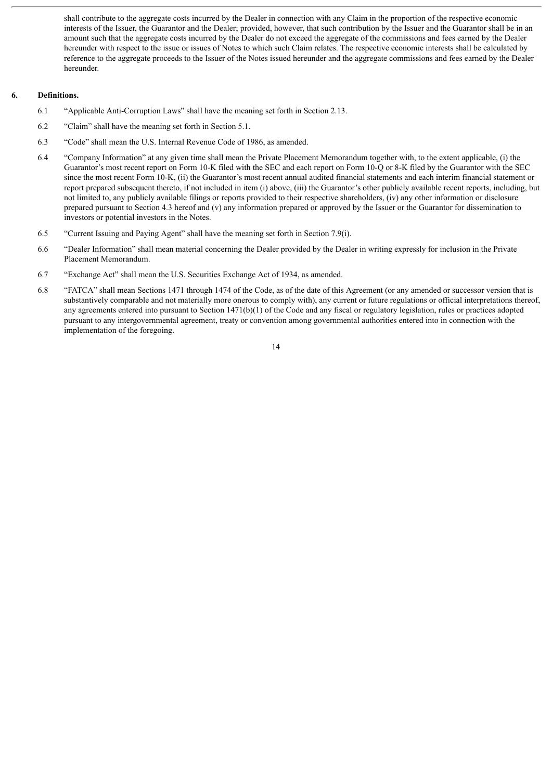shall contribute to the aggregate costs incurred by the Dealer in connection with any Claim in the proportion of the respective economic interests of the Issuer, the Guarantor and the Dealer; provided, however, that such contribution by the Issuer and the Guarantor shall be in an amount such that the aggregate costs incurred by the Dealer do not exceed the aggregate of the commissions and fees earned by the Dealer hereunder with respect to the issue or issues of Notes to which such Claim relates. The respective economic interests shall be calculated by reference to the aggregate proceeds to the Issuer of the Notes issued hereunder and the aggregate commissions and fees earned by the Dealer hereunder.

#### **6. Definitions.**

- 6.1 "Applicable Anti-Corruption Laws" shall have the meaning set forth in Section 2.13.
- 6.2 "Claim" shall have the meaning set forth in Section 5.1.
- 6.3 "Code" shall mean the U.S. Internal Revenue Code of 1986, as amended.
- 6.4 "Company Information" at any given time shall mean the Private Placement Memorandum together with, to the extent applicable, (i) the Guarantor's most recent report on Form 10-K filed with the SEC and each report on Form 10-Q or 8-K filed by the Guarantor with the SEC since the most recent Form 10-K, (ii) the Guarantor's most recent annual audited financial statements and each interim financial statement or report prepared subsequent thereto, if not included in item (i) above, (iii) the Guarantor's other publicly available recent reports, including, but not limited to, any publicly available filings or reports provided to their respective shareholders, (iv) any other information or disclosure prepared pursuant to Section 4.3 hereof and (v) any information prepared or approved by the Issuer or the Guarantor for dissemination to investors or potential investors in the Notes.
- 6.5 "Current Issuing and Paying Agent" shall have the meaning set forth in Section 7.9(i).
- 6.6 "Dealer Information" shall mean material concerning the Dealer provided by the Dealer in writing expressly for inclusion in the Private Placement Memorandum.
- 6.7 "Exchange Act" shall mean the U.S. Securities Exchange Act of 1934, as amended.
- 6.8 "FATCA" shall mean Sections 1471 through 1474 of the Code, as of the date of this Agreement (or any amended or successor version that is substantively comparable and not materially more onerous to comply with), any current or future regulations or official interpretations thereof, any agreements entered into pursuant to Section 1471(b)(1) of the Code and any fiscal or regulatory legislation, rules or practices adopted pursuant to any intergovernmental agreement, treaty or convention among governmental authorities entered into in connection with the implementation of the foregoing.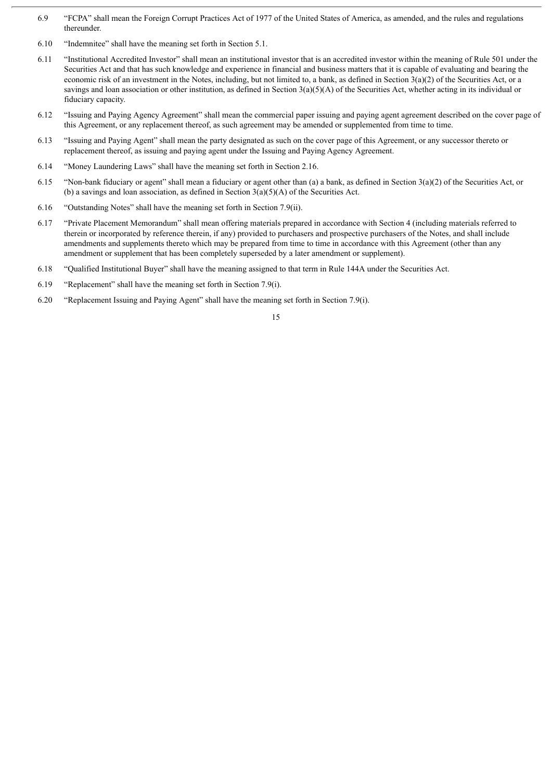- 6.9 "FCPA" shall mean the Foreign Corrupt Practices Act of 1977 of the United States of America, as amended, and the rules and regulations thereunder.
- 6.10 "Indemnitee" shall have the meaning set forth in Section 5.1.
- 6.11 "Institutional Accredited Investor" shall mean an institutional investor that is an accredited investor within the meaning of Rule 501 under the Securities Act and that has such knowledge and experience in financial and business matters that it is capable of evaluating and bearing the economic risk of an investment in the Notes, including, but not limited to, a bank, as defined in Section  $3(a)(2)$  of the Securities Act, or a savings and loan association or other institution, as defined in Section  $3(a)(5)(A)$  of the Securities Act, whether acting in its individual or fiduciary capacity.
- 6.12 "Issuing and Paying Agency Agreement" shall mean the commercial paper issuing and paying agent agreement described on the cover page of this Agreement, or any replacement thereof, as such agreement may be amended or supplemented from time to time.
- 6.13 "Issuing and Paying Agent" shall mean the party designated as such on the cover page of this Agreement, or any successor thereto or replacement thereof, as issuing and paying agent under the Issuing and Paying Agency Agreement.
- 6.14 "Money Laundering Laws" shall have the meaning set forth in Section 2.16.
- 6.15 "Non-bank fiduciary or agent" shall mean a fiduciary or agent other than (a) a bank, as defined in Section 3(a)(2) of the Securities Act, or (b) a savings and loan association, as defined in Section 3(a)(5)(A) of the Securities Act.
- 6.16 "Outstanding Notes" shall have the meaning set forth in Section 7.9(ii).
- 6.17 "Private Placement Memorandum" shall mean offering materials prepared in accordance with Section 4 (including materials referred to therein or incorporated by reference therein, if any) provided to purchasers and prospective purchasers of the Notes, and shall include amendments and supplements thereto which may be prepared from time to time in accordance with this Agreement (other than any amendment or supplement that has been completely superseded by a later amendment or supplement).
- 6.18 "Qualified Institutional Buyer" shall have the meaning assigned to that term in Rule 144A under the Securities Act.
- 6.19 "Replacement" shall have the meaning set forth in Section 7.9(i).
- 6.20 "Replacement Issuing and Paying Agent" shall have the meaning set forth in Section 7.9(i).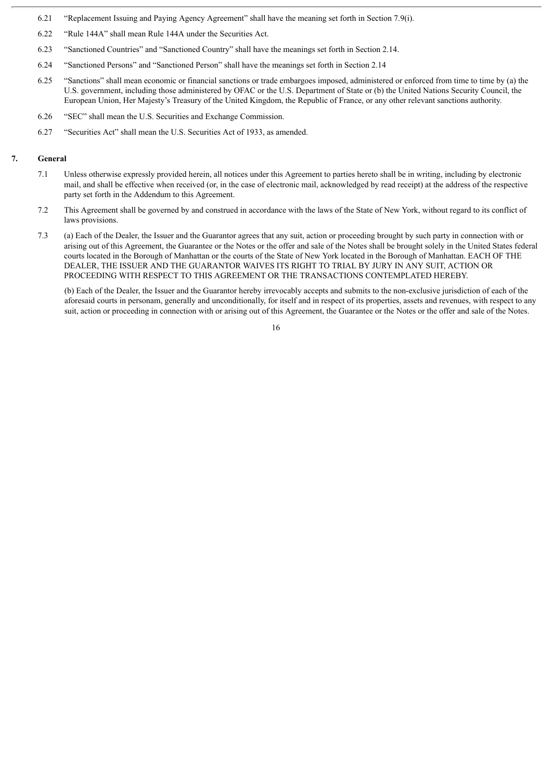- 6.21 "Replacement Issuing and Paying Agency Agreement" shall have the meaning set forth in Section 7.9(i).
- 6.22 "Rule 144A" shall mean Rule 144A under the Securities Act.
- 6.23 "Sanctioned Countries" and "Sanctioned Country" shall have the meanings set forth in Section 2.14.
- 6.24 "Sanctioned Persons" and "Sanctioned Person" shall have the meanings set forth in Section 2.14
- 6.25 "Sanctions" shall mean economic or financial sanctions or trade embargoes imposed, administered or enforced from time to time by (a) the U.S. government, including those administered by OFAC or the U.S. Department of State or (b) the United Nations Security Council, the European Union, Her Majesty's Treasury of the United Kingdom, the Republic of France, or any other relevant sanctions authority.
- 6.26 "SEC" shall mean the U.S. Securities and Exchange Commission.
- 6.27 "Securities Act" shall mean the U.S. Securities Act of 1933, as amended.

#### **7. General**

- 7.1 Unless otherwise expressly provided herein, all notices under this Agreement to parties hereto shall be in writing, including by electronic mail, and shall be effective when received (or, in the case of electronic mail, acknowledged by read receipt) at the address of the respective party set forth in the Addendum to this Agreement.
- 7.2 This Agreement shall be governed by and construed in accordance with the laws of the State of New York, without regard to its conflict of laws provisions.
- 7.3 (a) Each of the Dealer, the Issuer and the Guarantor agrees that any suit, action or proceeding brought by such party in connection with or arising out of this Agreement, the Guarantee or the Notes or the offer and sale of the Notes shall be brought solely in the United States federal courts located in the Borough of Manhattan or the courts of the State of New York located in the Borough of Manhattan. EACH OF THE DEALER, THE ISSUER AND THE GUARANTOR WAIVES ITS RIGHT TO TRIAL BY JURY IN ANY SUIT, ACTION OR PROCEEDING WITH RESPECT TO THIS AGREEMENT OR THE TRANSACTIONS CONTEMPLATED HEREBY.

(b) Each of the Dealer, the Issuer and the Guarantor hereby irrevocably accepts and submits to the non-exclusive jurisdiction of each of the aforesaid courts in personam, generally and unconditionally, for itself and in respect of its properties, assets and revenues, with respect to any suit, action or proceeding in connection with or arising out of this Agreement, the Guarantee or the Notes or the offer and sale of the Notes.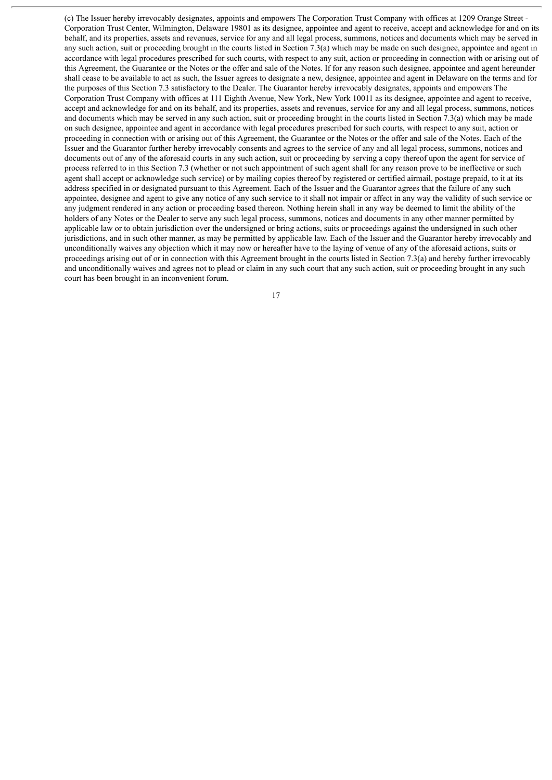(c) The Issuer hereby irrevocably designates, appoints and empowers The Corporation Trust Company with offices at 1209 Orange Street - Corporation Trust Center, Wilmington, Delaware 19801 as its designee, appointee and agent to receive, accept and acknowledge for and on its behalf, and its properties, assets and revenues, service for any and all legal process, summons, notices and documents which may be served in any such action, suit or proceeding brought in the courts listed in Section 7.3(a) which may be made on such designee, appointee and agent in accordance with legal procedures prescribed for such courts, with respect to any suit, action or proceeding in connection with or arising out of this Agreement, the Guarantee or the Notes or the offer and sale of the Notes. If for any reason such designee, appointee and agent hereunder shall cease to be available to act as such, the Issuer agrees to designate a new, designee, appointee and agent in Delaware on the terms and for the purposes of this Section 7.3 satisfactory to the Dealer. The Guarantor hereby irrevocably designates, appoints and empowers The Corporation Trust Company with offices at 111 Eighth Avenue, New York, New York 10011 as its designee, appointee and agent to receive, accept and acknowledge for and on its behalf, and its properties, assets and revenues, service for any and all legal process, summons, notices and documents which may be served in any such action, suit or proceeding brought in the courts listed in Section 7.3(a) which may be made on such designee, appointee and agent in accordance with legal procedures prescribed for such courts, with respect to any suit, action or proceeding in connection with or arising out of this Agreement, the Guarantee or the Notes or the offer and sale of the Notes. Each of the Issuer and the Guarantor further hereby irrevocably consents and agrees to the service of any and all legal process, summons, notices and documents out of any of the aforesaid courts in any such action, suit or proceeding by serving a copy thereof upon the agent for service of process referred to in this Section 7.3 (whether or not such appointment of such agent shall for any reason prove to be ineffective or such agent shall accept or acknowledge such service) or by mailing copies thereof by registered or certified airmail, postage prepaid, to it at its address specified in or designated pursuant to this Agreement. Each of the Issuer and the Guarantor agrees that the failure of any such appointee, designee and agent to give any notice of any such service to it shall not impair or affect in any way the validity of such service or any judgment rendered in any action or proceeding based thereon. Nothing herein shall in any way be deemed to limit the ability of the holders of any Notes or the Dealer to serve any such legal process, summons, notices and documents in any other manner permitted by applicable law or to obtain jurisdiction over the undersigned or bring actions, suits or proceedings against the undersigned in such other jurisdictions, and in such other manner, as may be permitted by applicable law. Each of the Issuer and the Guarantor hereby irrevocably and unconditionally waives any objection which it may now or hereafter have to the laying of venue of any of the aforesaid actions, suits or proceedings arising out of or in connection with this Agreement brought in the courts listed in Section 7.3(a) and hereby further irrevocably and unconditionally waives and agrees not to plead or claim in any such court that any such action, suit or proceeding brought in any such court has been brought in an inconvenient forum.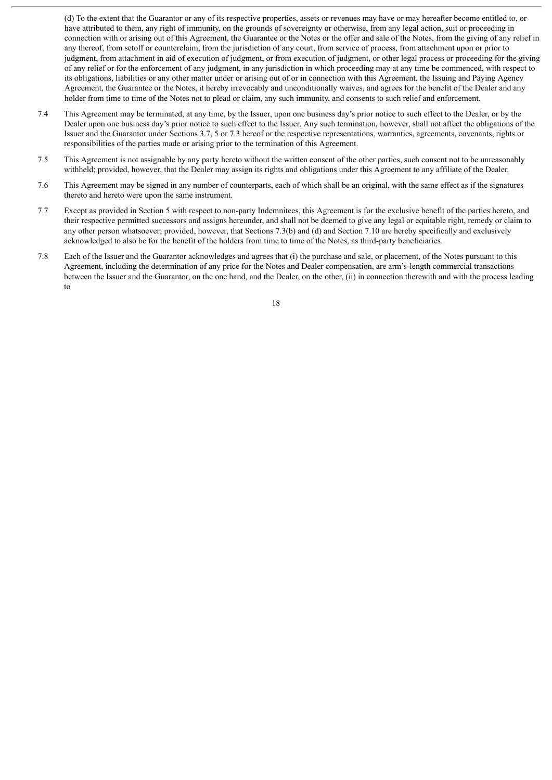(d) To the extent that the Guarantor or any of its respective properties, assets or revenues may have or may hereafter become entitled to, or have attributed to them, any right of immunity, on the grounds of sovereignty or otherwise, from any legal action, suit or proceeding in connection with or arising out of this Agreement, the Guarantee or the Notes or the offer and sale of the Notes, from the giving of any relief in any thereof, from setoff or counterclaim, from the jurisdiction of any court, from service of process, from attachment upon or prior to judgment, from attachment in aid of execution of judgment, or from execution of judgment, or other legal process or proceeding for the giving of any relief or for the enforcement of any judgment, in any jurisdiction in which proceeding may at any time be commenced, with respect to its obligations, liabilities or any other matter under or arising out of or in connection with this Agreement, the Issuing and Paying Agency Agreement, the Guarantee or the Notes, it hereby irrevocably and unconditionally waives, and agrees for the benefit of the Dealer and any holder from time to time of the Notes not to plead or claim, any such immunity, and consents to such relief and enforcement.

- 7.4 This Agreement may be terminated, at any time, by the Issuer, upon one business day's prior notice to such effect to the Dealer, or by the Dealer upon one business day's prior notice to such effect to the Issuer. Any such termination, however, shall not affect the obligations of the Issuer and the Guarantor under Sections 3.7, 5 or 7.3 hereof or the respective representations, warranties, agreements, covenants, rights or responsibilities of the parties made or arising prior to the termination of this Agreement.
- 7.5 This Agreement is not assignable by any party hereto without the written consent of the other parties, such consent not to be unreasonably withheld; provided, however, that the Dealer may assign its rights and obligations under this Agreement to any affiliate of the Dealer.
- 7.6 This Agreement may be signed in any number of counterparts, each of which shall be an original, with the same effect as if the signatures thereto and hereto were upon the same instrument.
- 7.7 Except as provided in Section 5 with respect to non-party Indemnitees, this Agreement is for the exclusive benefit of the parties hereto, and their respective permitted successors and assigns hereunder, and shall not be deemed to give any legal or equitable right, remedy or claim to any other person whatsoever; provided, however, that Sections 7.3(b) and (d) and Section 7.10 are hereby specifically and exclusively acknowledged to also be for the benefit of the holders from time to time of the Notes, as third-party beneficiaries.
- 7.8 Each of the Issuer and the Guarantor acknowledges and agrees that (i) the purchase and sale, or placement, of the Notes pursuant to this Agreement, including the determination of any price for the Notes and Dealer compensation, are arm's-length commercial transactions between the Issuer and the Guarantor, on the one hand, and the Dealer, on the other, (ii) in connection therewith and with the process leading to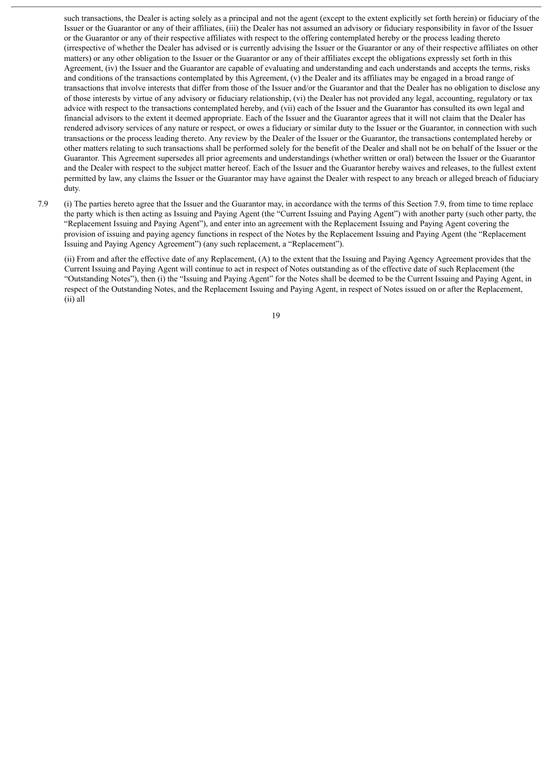such transactions, the Dealer is acting solely as a principal and not the agent (except to the extent explicitly set forth herein) or fiduciary of the Issuer or the Guarantor or any of their affiliates, (iii) the Dealer has not assumed an advisory or fiduciary responsibility in favor of the Issuer or the Guarantor or any of their respective affiliates with respect to the offering contemplated hereby or the process leading thereto (irrespective of whether the Dealer has advised or is currently advising the Issuer or the Guarantor or any of their respective affiliates on other matters) or any other obligation to the Issuer or the Guarantor or any of their affiliates except the obligations expressly set forth in this Agreement, (iv) the Issuer and the Guarantor are capable of evaluating and understanding and each understands and accepts the terms, risks and conditions of the transactions contemplated by this Agreement, (v) the Dealer and its affiliates may be engaged in a broad range of transactions that involve interests that differ from those of the Issuer and/or the Guarantor and that the Dealer has no obligation to disclose any of those interests by virtue of any advisory or fiduciary relationship, (vi) the Dealer has not provided any legal, accounting, regulatory or tax advice with respect to the transactions contemplated hereby, and (vii) each of the Issuer and the Guarantor has consulted its own legal and financial advisors to the extent it deemed appropriate. Each of the Issuer and the Guarantor agrees that it will not claim that the Dealer has rendered advisory services of any nature or respect, or owes a fiduciary or similar duty to the Issuer or the Guarantor, in connection with such transactions or the process leading thereto. Any review by the Dealer of the Issuer or the Guarantor, the transactions contemplated hereby or other matters relating to such transactions shall be performed solely for the benefit of the Dealer and shall not be on behalf of the Issuer or the Guarantor. This Agreement supersedes all prior agreements and understandings (whether written or oral) between the Issuer or the Guarantor and the Dealer with respect to the subject matter hereof. Each of the Issuer and the Guarantor hereby waives and releases, to the fullest extent permitted by law, any claims the Issuer or the Guarantor may have against the Dealer with respect to any breach or alleged breach of fiduciary duty.

7.9 (i) The parties hereto agree that the Issuer and the Guarantor may, in accordance with the terms of this Section 7.9, from time to time replace the party which is then acting as Issuing and Paying Agent (the "Current Issuing and Paying Agent") with another party (such other party, the "Replacement Issuing and Paying Agent"), and enter into an agreement with the Replacement Issuing and Paying Agent covering the provision of issuing and paying agency functions in respect of the Notes by the Replacement Issuing and Paying Agent (the "Replacement Issuing and Paying Agency Agreement") (any such replacement, a "Replacement").

(ii) From and after the effective date of any Replacement, (A) to the extent that the Issuing and Paying Agency Agreement provides that the Current Issuing and Paying Agent will continue to act in respect of Notes outstanding as of the effective date of such Replacement (the "Outstanding Notes"), then (i) the "Issuing and Paying Agent" for the Notes shall be deemed to be the Current Issuing and Paying Agent, in respect of the Outstanding Notes, and the Replacement Issuing and Paying Agent, in respect of Notes issued on or after the Replacement, (ii) all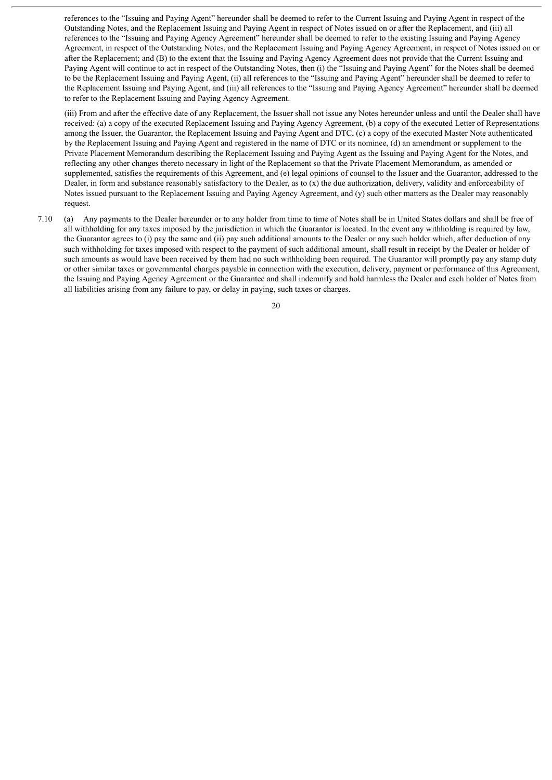references to the "Issuing and Paying Agent" hereunder shall be deemed to refer to the Current Issuing and Paying Agent in respect of the Outstanding Notes, and the Replacement Issuing and Paying Agent in respect of Notes issued on or after the Replacement, and (iii) all references to the "Issuing and Paying Agency Agreement" hereunder shall be deemed to refer to the existing Issuing and Paying Agency Agreement, in respect of the Outstanding Notes, and the Replacement Issuing and Paying Agency Agreement, in respect of Notes issued on or after the Replacement; and (B) to the extent that the Issuing and Paying Agency Agreement does not provide that the Current Issuing and Paying Agent will continue to act in respect of the Outstanding Notes, then (i) the "Issuing and Paying Agent" for the Notes shall be deemed to be the Replacement Issuing and Paying Agent, (ii) all references to the "Issuing and Paying Agent" hereunder shall be deemed to refer to the Replacement Issuing and Paying Agent, and (iii) all references to the "Issuing and Paying Agency Agreement" hereunder shall be deemed to refer to the Replacement Issuing and Paying Agency Agreement.

(iii) From and after the effective date of any Replacement, the Issuer shall not issue any Notes hereunder unless and until the Dealer shall have received: (a) a copy of the executed Replacement Issuing and Paying Agency Agreement, (b) a copy of the executed Letter of Representations among the Issuer, the Guarantor, the Replacement Issuing and Paying Agent and DTC, (c) a copy of the executed Master Note authenticated by the Replacement Issuing and Paying Agent and registered in the name of DTC or its nominee, (d) an amendment or supplement to the Private Placement Memorandum describing the Replacement Issuing and Paying Agent as the Issuing and Paying Agent for the Notes, and reflecting any other changes thereto necessary in light of the Replacement so that the Private Placement Memorandum, as amended or supplemented, satisfies the requirements of this Agreement, and (e) legal opinions of counsel to the Issuer and the Guarantor, addressed to the Dealer, in form and substance reasonably satisfactory to the Dealer, as to (x) the due authorization, delivery, validity and enforceability of Notes issued pursuant to the Replacement Issuing and Paying Agency Agreement, and (y) such other matters as the Dealer may reasonably request.

7.10 (a) Any payments to the Dealer hereunder or to any holder from time to time of Notes shall be in United States dollars and shall be free of all withholding for any taxes imposed by the jurisdiction in which the Guarantor is located. In the event any withholding is required by law, the Guarantor agrees to (i) pay the same and (ii) pay such additional amounts to the Dealer or any such holder which, after deduction of any such withholding for taxes imposed with respect to the payment of such additional amount, shall result in receipt by the Dealer or holder of such amounts as would have been received by them had no such withholding been required. The Guarantor will promptly pay any stamp duty or other similar taxes or governmental charges payable in connection with the execution, delivery, payment or performance of this Agreement, the Issuing and Paying Agency Agreement or the Guarantee and shall indemnify and hold harmless the Dealer and each holder of Notes from all liabilities arising from any failure to pay, or delay in paying, such taxes or charges.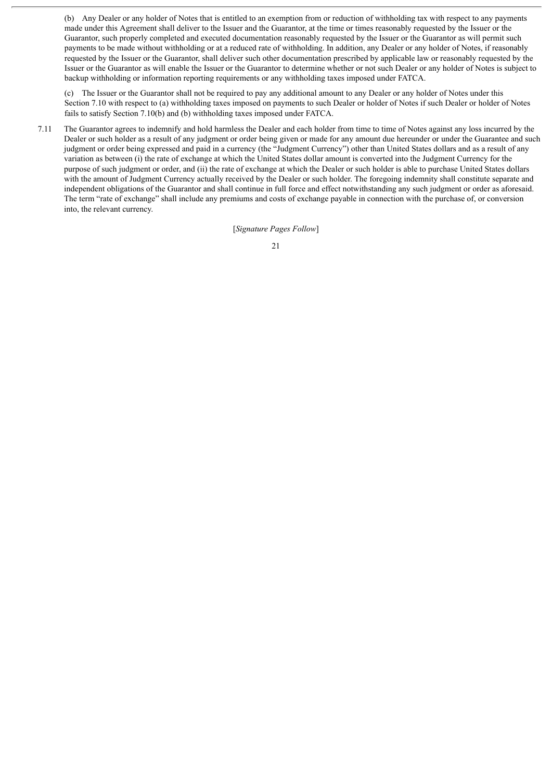(b) Any Dealer or any holder of Notes that is entitled to an exemption from or reduction of withholding tax with respect to any payments made under this Agreement shall deliver to the Issuer and the Guarantor, at the time or times reasonably requested by the Issuer or the Guarantor, such properly completed and executed documentation reasonably requested by the Issuer or the Guarantor as will permit such payments to be made without withholding or at a reduced rate of withholding. In addition, any Dealer or any holder of Notes, if reasonably requested by the Issuer or the Guarantor, shall deliver such other documentation prescribed by applicable law or reasonably requested by the Issuer or the Guarantor as will enable the Issuer or the Guarantor to determine whether or not such Dealer or any holder of Notes is subject to backup withholding or information reporting requirements or any withholding taxes imposed under FATCA.

(c) The Issuer or the Guarantor shall not be required to pay any additional amount to any Dealer or any holder of Notes under this Section 7.10 with respect to (a) withholding taxes imposed on payments to such Dealer or holder of Notes if such Dealer or holder of Notes fails to satisfy Section 7.10(b) and (b) withholding taxes imposed under FATCA.

7.11 The Guarantor agrees to indemnify and hold harmless the Dealer and each holder from time to time of Notes against any loss incurred by the Dealer or such holder as a result of any judgment or order being given or made for any amount due hereunder or under the Guarantee and such judgment or order being expressed and paid in a currency (the "Judgment Currency") other than United States dollars and as a result of any variation as between (i) the rate of exchange at which the United States dollar amount is converted into the Judgment Currency for the purpose of such judgment or order, and (ii) the rate of exchange at which the Dealer or such holder is able to purchase United States dollars with the amount of Judgment Currency actually received by the Dealer or such holder. The foregoing indemnity shall constitute separate and independent obligations of the Guarantor and shall continue in full force and effect notwithstanding any such judgment or order as aforesaid. The term "rate of exchange" shall include any premiums and costs of exchange payable in connection with the purchase of, or conversion into, the relevant currency.

[*Signature Pages Follow*]

<sup>21</sup>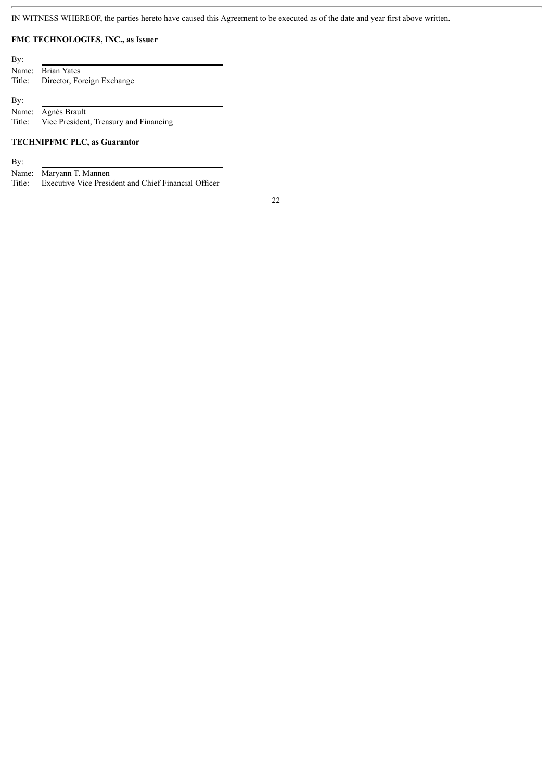IN WITNESS WHEREOF, the parties hereto have caused this Agreement to be executed as of the date and year first above written.

#### **FMC TECHNOLOGIES, INC., as Issuer**

| By: |                                   |
|-----|-----------------------------------|
|     | Name: Brian Yates                 |
|     | Title: Director, Foreign Exchange |
|     |                                   |
| By: |                                   |

Name: Agnès Brault Title: Vice President, Treasury and Financing

#### **TECHNIPFMC PLC, as Guarantor**

By:

Name: Maryann T. Mannen Title: Executive Vice President and Chief Financial Officer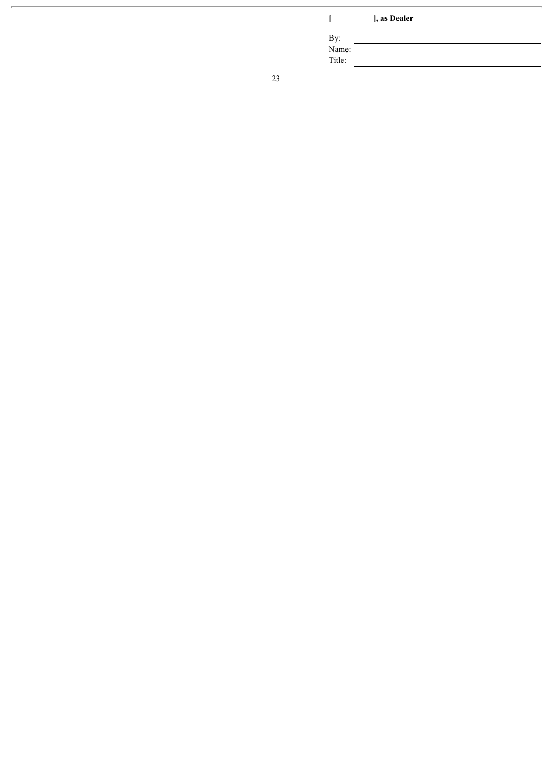**[ ] , a s D e a l e r**

By:

Nam e: Title: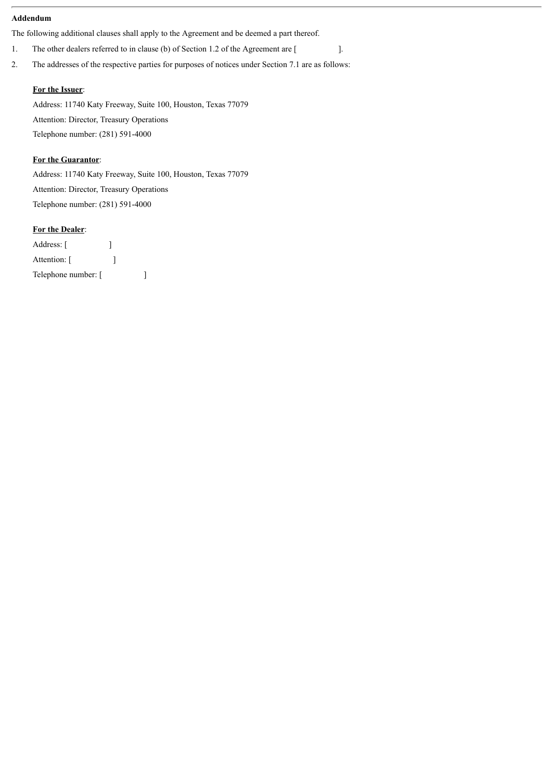#### **Addendum**

The following additional clauses shall apply to the Agreement and be deemed a part thereof.

1. The other dealers referred to in clause (b) of Section 1.2 of the Agreement are [  $\qquad$  ].

2. The addresses of the respective parties for purposes of notices under Section 7.1 are as follows:

#### **For the Issuer**:

Address: 11740 Katy Freeway, Suite 100, Houston, Texas 77079 Attention: Director, Treasury Operations Telephone number: (281) 591-4000

#### **For the Guarantor**:

Address: 11740 Katy Freeway, Suite 100, Houston, Texas 77079 Attention: Director, Treasury Operations Telephone number: (281) 591-4000

#### **For the Dealer**:

| Address: [          |  |  |
|---------------------|--|--|
| Attention: [        |  |  |
| Telephone number: [ |  |  |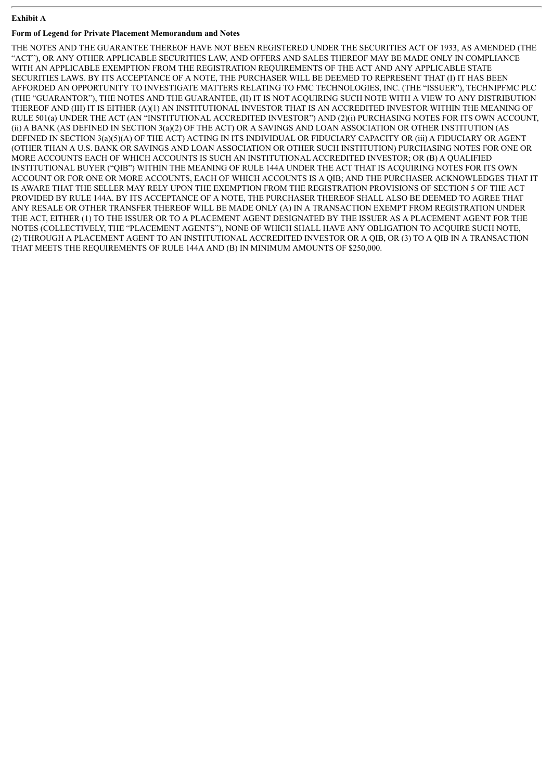#### **Exhibit A**

#### **Form of Legend for Private Placement Memorandum and Notes**

THE NOTES AND THE GUARANTEE THEREOF HAVE NOT BEEN REGISTERED UNDER THE SECURITIES ACT OF 1933, AS AMENDED (THE "ACT"), OR ANY OTHER APPLICABLE SECURITIES LAW, AND OFFERS AND SALES THEREOF MAY BE MADE ONLY IN COMPLIANCE WITH AN APPLICABLE EXEMPTION FROM THE REGISTRATION REQUIREMENTS OF THE ACT AND ANY APPLICABLE STATE SECURITIES LAWS. BY ITS ACCEPTANCE OF A NOTE, THE PURCHASER WILL BE DEEMED TO REPRESENT THAT (I) IT HAS BEEN AFFORDED AN OPPORTUNITY TO INVESTIGATE MATTERS RELATING TO FMC TECHNOLOGIES, INC. (THE "ISSUER"), TECHNIPFMC PLC (THE "GUARANTOR"), THE NOTES AND THE GUARANTEE, (II) IT IS NOT ACQUIRING SUCH NOTE WITH A VIEW TO ANY DISTRIBUTION THEREOF AND (III) IT IS EITHER (A)(1) AN INSTITUTIONAL INVESTOR THAT IS AN ACCREDITED INVESTOR WITHIN THE MEANING OF RULE 501(a) UNDER THE ACT (AN "INSTITUTIONAL ACCREDITED INVESTOR") AND (2)(i) PURCHASING NOTES FOR ITS OWN ACCOUNT, (ii) A BANK (AS DEFINED IN SECTION 3(a)(2) OF THE ACT) OR A SAVINGS AND LOAN ASSOCIATION OR OTHER INSTITUTION (AS DEFINED IN SECTION 3(a)(5)(A) OF THE ACT) ACTING IN ITS INDIVIDUAL OR FIDUCIARY CAPACITY OR (iii) A FIDUCIARY OR AGENT (OTHER THAN A U.S. BANK OR SAVINGS AND LOAN ASSOCIATION OR OTHER SUCH INSTITUTION) PURCHASING NOTES FOR ONE OR MORE ACCOUNTS EACH OF WHICH ACCOUNTS IS SUCH AN INSTITUTIONAL ACCREDITED INVESTOR; OR (B) A QUALIFIED INSTITUTIONAL BUYER ("QIB") WITHIN THE MEANING OF RULE 144A UNDER THE ACT THAT IS ACQUIRING NOTES FOR ITS OWN ACCOUNT OR FOR ONE OR MORE ACCOUNTS, EACH OF WHICH ACCOUNTS IS A QIB; AND THE PURCHASER ACKNOWLEDGES THAT IT IS AWARE THAT THE SELLER MAY RELY UPON THE EXEMPTION FROM THE REGISTRATION PROVISIONS OF SECTION 5 OF THE ACT PROVIDED BY RULE 144A. BY ITS ACCEPTANCE OF A NOTE, THE PURCHASER THEREOF SHALL ALSO BE DEEMED TO AGREE THAT ANY RESALE OR OTHER TRANSFER THEREOF WILL BE MADE ONLY (A) IN A TRANSACTION EXEMPT FROM REGISTRATION UNDER THE ACT, EITHER (1) TO THE ISSUER OR TO A PLACEMENT AGENT DESIGNATED BY THE ISSUER AS A PLACEMENT AGENT FOR THE NOTES (COLLECTIVELY, THE "PLACEMENT AGENTS"), NONE OF WHICH SHALL HAVE ANY OBLIGATION TO ACQUIRE SUCH NOTE, (2) THROUGH A PLACEMENT AGENT TO AN INSTITUTIONAL ACCREDITED INVESTOR OR A QIB, OR (3) TO A QIB IN A TRANSACTION THAT MEETS THE REQUIREMENTS OF RULE 144A AND (B) IN MINIMUM AMOUNTS OF \$250,000.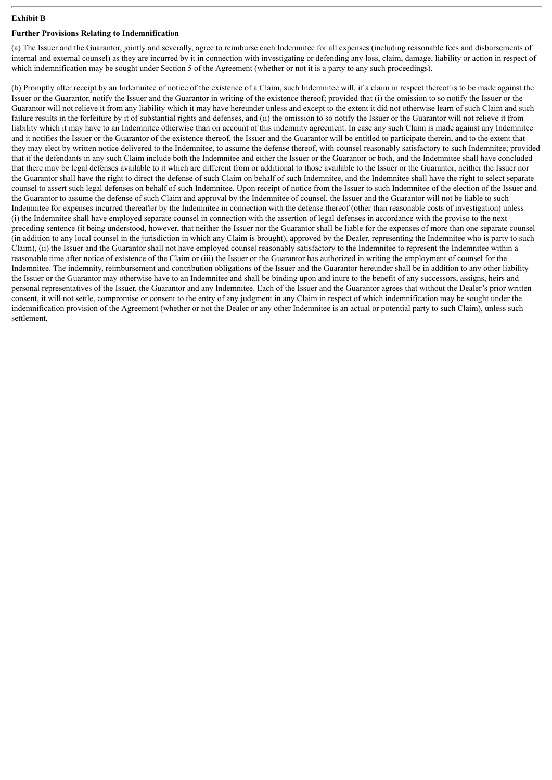#### **Exhibit B**

#### **Further Provisions Relating to Indemnification**

(a) The Issuer and the Guarantor, jointly and severally, agree to reimburse each Indemnitee for all expenses (including reasonable fees and disbursements of internal and external counsel) as they are incurred by it in connection with investigating or defending any loss, claim, damage, liability or action in respect of which indemnification may be sought under Section 5 of the Agreement (whether or not it is a party to any such proceedings).

(b) Promptly after receipt by an Indemnitee of notice of the existence of a Claim, such Indemnitee will, if a claim in respect thereof is to be made against the Issuer or the Guarantor, notify the Issuer and the Guarantor in writing of the existence thereof; provided that (i) the omission to so notify the Issuer or the Guarantor will not relieve it from any liability which it may have hereunder unless and except to the extent it did not otherwise learn of such Claim and such failure results in the forfeiture by it of substantial rights and defenses, and (ii) the omission to so notify the Issuer or the Guarantor will not relieve it from liability which it may have to an Indemnitee otherwise than on account of this indemnity agreement. In case any such Claim is made against any Indemnitee and it notifies the Issuer or the Guarantor of the existence thereof, the Issuer and the Guarantor will be entitled to participate therein, and to the extent that they may elect by written notice delivered to the Indemnitee, to assume the defense thereof, with counsel reasonably satisfactory to such Indemnitee; provided that if the defendants in any such Claim include both the Indemnitee and either the Issuer or the Guarantor or both, and the Indemnitee shall have concluded that there may be legal defenses available to it which are different from or additional to those available to the Issuer or the Guarantor, neither the Issuer nor the Guarantor shall have the right to direct the defense of such Claim on behalf of such Indemnitee, and the Indemnitee shall have the right to select separate counsel to assert such legal defenses on behalf of such Indemnitee. Upon receipt of notice from the Issuer to such Indemnitee of the election of the Issuer and the Guarantor to assume the defense of such Claim and approval by the Indemnitee of counsel, the Issuer and the Guarantor will not be liable to such Indemnitee for expenses incurred thereafter by the Indemnitee in connection with the defense thereof (other than reasonable costs of investigation) unless (i) the Indemnitee shall have employed separate counsel in connection with the assertion of legal defenses in accordance with the proviso to the next preceding sentence (it being understood, however, that neither the Issuer nor the Guarantor shall be liable for the expenses of more than one separate counsel (in addition to any local counsel in the jurisdiction in which any Claim is brought), approved by the Dealer, representing the Indemnitee who is party to such Claim), (ii) the Issuer and the Guarantor shall not have employed counsel reasonably satisfactory to the Indemnitee to represent the Indemnitee within a reasonable time after notice of existence of the Claim or (iii) the Issuer or the Guarantor has authorized in writing the employment of counsel for the Indemnitee. The indemnity, reimbursement and contribution obligations of the Issuer and the Guarantor hereunder shall be in addition to any other liability the Issuer or the Guarantor may otherwise have to an Indemnitee and shall be binding upon and inure to the benefit of any successors, assigns, heirs and personal representatives of the Issuer, the Guarantor and any Indemnitee. Each of the Issuer and the Guarantor agrees that without the Dealer's prior written consent, it will not settle, compromise or consent to the entry of any judgment in any Claim in respect of which indemnification may be sought under the indemnification provision of the Agreement (whether or not the Dealer or any other Indemnitee is an actual or potential party to such Claim), unless such settlement,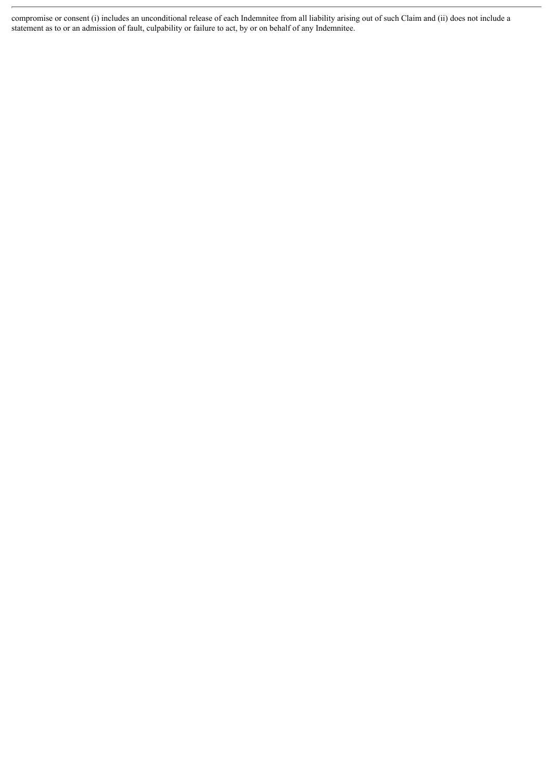compromise or consent (i) includes an unconditional release of each Indemnitee from all liability arising out of such Claim and (ii) does not include a statement as to or an admission of fault, culpability or failure to act, by or on behalf of any Indemnitee.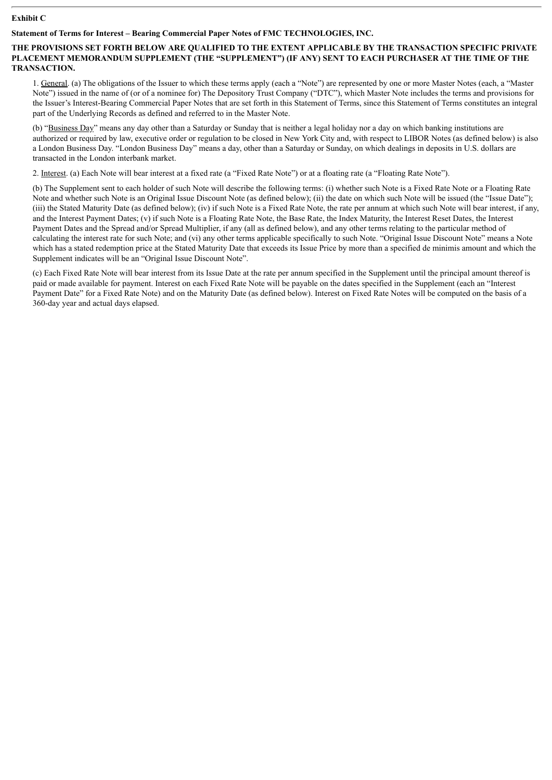#### **Exhibit C**

#### **Statement of Terms for Interest – Bearing Commercial Paper Notes of FMC TECHNOLOGIES, INC.**

#### **THE PROVISIONS SET FORTH BELOW ARE QUALIFIED TO THE EXTENT APPLICABLE BY THE TRANSACTION SPECIFIC PRIVATE PLACEMENT MEMORANDUM SUPPLEMENT (THE "SUPPLEMENT") (IF ANY) SENT TO EACH PURCHASER AT THE TIME OF THE TRANSACTION.**

1. General. (a) The obligations of the Issuer to which these terms apply (each a "Note") are represented by one or more Master Notes (each, a "Master Note") issued in the name of (or of a nominee for) The Depository Trust Company ("DTC"), which Master Note includes the terms and provisions for the Issuer's Interest-Bearing Commercial Paper Notes that are set forth in this Statement of Terms, since this Statement of Terms constitutes an integral part of the Underlying Records as defined and referred to in the Master Note.

(b) "Business Day" means any day other than a Saturday or Sunday that is neither a legal holiday nor a day on which banking institutions are authorized or required by law, executive order or regulation to be closed in New York City and, with respect to LIBOR Notes (as defined below) is also a London Business Day. "London Business Day" means a day, other than a Saturday or Sunday, on which dealings in deposits in U.S. dollars are transacted in the London interbank market.

2. Interest. (a) Each Note will bear interest at a fixed rate (a "Fixed Rate Note") or at a floating rate (a "Floating Rate Note").

(b) The Supplement sent to each holder of such Note will describe the following terms: (i) whether such Note is a Fixed Rate Note or a Floating Rate Note and whether such Note is an Original Issue Discount Note (as defined below); (ii) the date on which such Note will be issued (the "Issue Date"); (iii) the Stated Maturity Date (as defined below); (iv) if such Note is a Fixed Rate Note, the rate per annum at which such Note will bear interest, if any, and the Interest Payment Dates; (v) if such Note is a Floating Rate Note, the Base Rate, the Index Maturity, the Interest Reset Dates, the Interest Payment Dates and the Spread and/or Spread Multiplier, if any (all as defined below), and any other terms relating to the particular method of calculating the interest rate for such Note; and (vi) any other terms applicable specifically to such Note. "Original Issue Discount Note" means a Note which has a stated redemption price at the Stated Maturity Date that exceeds its Issue Price by more than a specified de minimis amount and which the Supplement indicates will be an "Original Issue Discount Note".

(c) Each Fixed Rate Note will bear interest from its Issue Date at the rate per annum specified in the Supplement until the principal amount thereof is paid or made available for payment. Interest on each Fixed Rate Note will be payable on the dates specified in the Supplement (each an "Interest Payment Date" for a Fixed Rate Note) and on the Maturity Date (as defined below). Interest on Fixed Rate Notes will be computed on the basis of a 360-day year and actual days elapsed.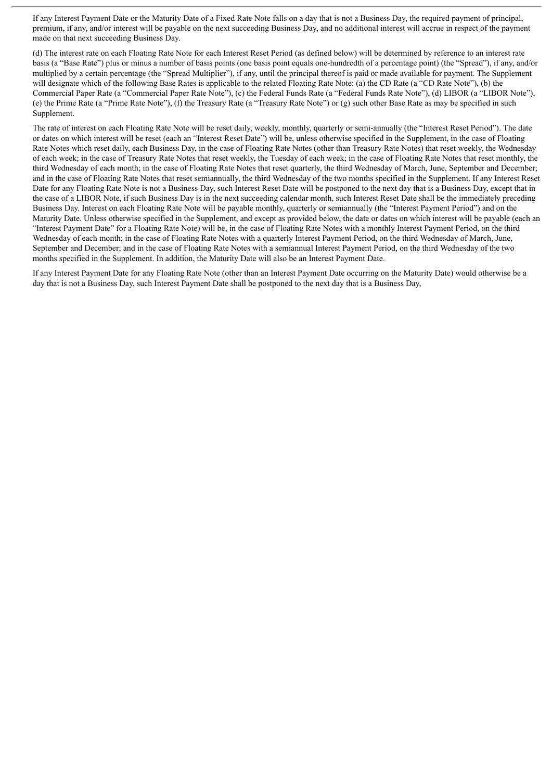If any Interest Payment Date or the Maturity Date of a Fixed Rate Note falls on a day that is not a Business Day, the required payment of principal, premium, if any, and/or interest will be payable on the next succeeding Business Day, and no additional interest will accrue in respect of the payment made on that next succeeding Business Day.

(d) The interest rate on each Floating Rate Note for each Interest Reset Period (as defined below) will be determined by reference to an interest rate basis (a "Base Rate") plus or minus a number of basis points (one basis point equals one-hundredth of a percentage point) (the "Spread"), if any, and/or multiplied by a certain percentage (the "Spread Multiplier"), if any, until the principal thereof is paid or made available for payment. The Supplement will designate which of the following Base Rates is applicable to the related Floating Rate Note: (a) the CD Rate (a "CD Rate Note"), (b) the Commercial Paper Rate (a "Commercial Paper Rate Note"), (c) the Federal Funds Rate (a "Federal Funds Rate Note"), (d) LIBOR (a "LIBOR Note"), (e) the Prime Rate (a "Prime Rate Note"), (f) the Treasury Rate (a "Treasury Rate Note") or (g) such other Base Rate as may be specified in such Supplement.

The rate of interest on each Floating Rate Note will be reset daily, weekly, monthly, quarterly or semi-annually (the "Interest Reset Period"). The date or dates on which interest will be reset (each an "Interest Reset Date") will be, unless otherwise specified in the Supplement, in the case of Floating Rate Notes which reset daily, each Business Day, in the case of Floating Rate Notes (other than Treasury Rate Notes) that reset weekly, the Wednesday of each week; in the case of Treasury Rate Notes that reset weekly, the Tuesday of each week; in the case of Floating Rate Notes that reset monthly, the third Wednesday of each month; in the case of Floating Rate Notes that reset quarterly, the third Wednesday of March, June, September and December; and in the case of Floating Rate Notes that reset semiannually, the third Wednesday of the two months specified in the Supplement. If any Interest Reset Date for any Floating Rate Note is not a Business Day, such Interest Reset Date will be postponed to the next day that is a Business Day, except that in the case of a LIBOR Note, if such Business Day is in the next succeeding calendar month, such Interest Reset Date shall be the immediately preceding Business Day. Interest on each Floating Rate Note will be payable monthly, quarterly or semiannually (the "Interest Payment Period") and on the Maturity Date. Unless otherwise specified in the Supplement, and except as provided below, the date or dates on which interest will be payable (each an "Interest Payment Date" for a Floating Rate Note) will be, in the case of Floating Rate Notes with a monthly Interest Payment Period, on the third Wednesday of each month; in the case of Floating Rate Notes with a quarterly Interest Payment Period, on the third Wednesday of March, June, September and December; and in the case of Floating Rate Notes with a semiannual Interest Payment Period, on the third Wednesday of the two months specified in the Supplement. In addition, the Maturity Date will also be an Interest Payment Date.

If any Interest Payment Date for any Floating Rate Note (other than an Interest Payment Date occurring on the Maturity Date) would otherwise be a day that is not a Business Day, such Interest Payment Date shall be postponed to the next day that is a Business Day,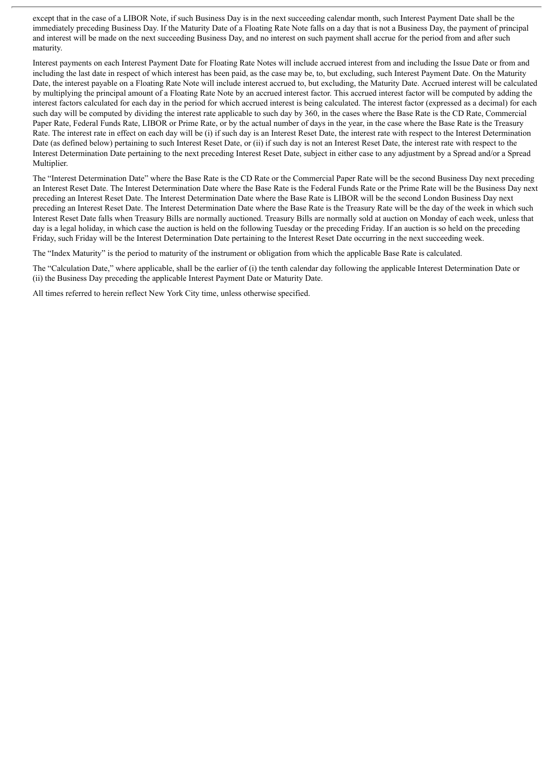except that in the case of a LIBOR Note, if such Business Day is in the next succeeding calendar month, such Interest Payment Date shall be the immediately preceding Business Day. If the Maturity Date of a Floating Rate Note falls on a day that is not a Business Day, the payment of principal and interest will be made on the next succeeding Business Day, and no interest on such payment shall accrue for the period from and after such maturity.

Interest payments on each Interest Payment Date for Floating Rate Notes will include accrued interest from and including the Issue Date or from and including the last date in respect of which interest has been paid, as the case may be, to, but excluding, such Interest Payment Date. On the Maturity Date, the interest payable on a Floating Rate Note will include interest accrued to, but excluding, the Maturity Date. Accrued interest will be calculated by multiplying the principal amount of a Floating Rate Note by an accrued interest factor. This accrued interest factor will be computed by adding the interest factors calculated for each day in the period for which accrued interest is being calculated. The interest factor (expressed as a decimal) for each such day will be computed by dividing the interest rate applicable to such day by 360, in the cases where the Base Rate is the CD Rate, Commercial Paper Rate, Federal Funds Rate, LIBOR or Prime Rate, or by the actual number of days in the year, in the case where the Base Rate is the Treasury Rate. The interest rate in effect on each day will be (i) if such day is an Interest Reset Date, the interest rate with respect to the Interest Determination Date (as defined below) pertaining to such Interest Reset Date, or (ii) if such day is not an Interest Reset Date, the interest rate with respect to the Interest Determination Date pertaining to the next preceding Interest Reset Date, subject in either case to any adjustment by a Spread and/or a Spread Multiplier.

The "Interest Determination Date" where the Base Rate is the CD Rate or the Commercial Paper Rate will be the second Business Day next preceding an Interest Reset Date. The Interest Determination Date where the Base Rate is the Federal Funds Rate or the Prime Rate will be the Business Day next preceding an Interest Reset Date. The Interest Determination Date where the Base Rate is LIBOR will be the second London Business Day next preceding an Interest Reset Date. The Interest Determination Date where the Base Rate is the Treasury Rate will be the day of the week in which such Interest Reset Date falls when Treasury Bills are normally auctioned. Treasury Bills are normally sold at auction on Monday of each week, unless that day is a legal holiday, in which case the auction is held on the following Tuesday or the preceding Friday. If an auction is so held on the preceding Friday, such Friday will be the Interest Determination Date pertaining to the Interest Reset Date occurring in the next succeeding week.

The "Index Maturity" is the period to maturity of the instrument or obligation from which the applicable Base Rate is calculated.

The "Calculation Date," where applicable, shall be the earlier of (i) the tenth calendar day following the applicable Interest Determination Date or (ii) the Business Day preceding the applicable Interest Payment Date or Maturity Date.

All times referred to herein reflect New York City time, unless otherwise specified.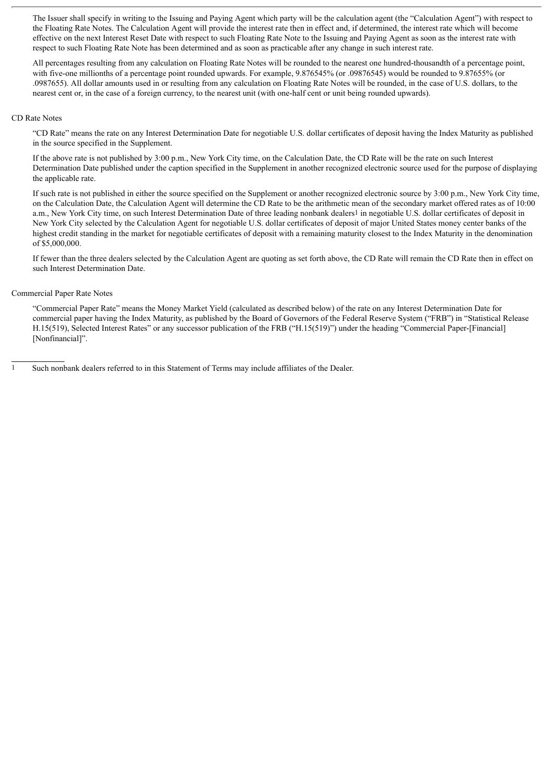The Issuer shall specify in writing to the Issuing and Paying Agent which party will be the calculation agent (the "Calculation Agent") with respect to the Floating Rate Notes. The Calculation Agent will provide the interest rate then in effect and, if determined, the interest rate which will become effective on the next Interest Reset Date with respect to such Floating Rate Note to the Issuing and Paying Agent as soon as the interest rate with respect to such Floating Rate Note has been determined and as soon as practicable after any change in such interest rate.

All percentages resulting from any calculation on Floating Rate Notes will be rounded to the nearest one hundred-thousandth of a percentage point, with five-one millionths of a percentage point rounded upwards. For example, 9.876545% (or .09876545) would be rounded to 9.87655% (or .0987655). All dollar amounts used in or resulting from any calculation on Floating Rate Notes will be rounded, in the case of U.S. dollars, to the nearest cent or, in the case of a foreign currency, to the nearest unit (with one-half cent or unit being rounded upwards).

#### CD Rate Notes

"CD Rate" means the rate on any Interest Determination Date for negotiable U.S. dollar certificates of deposit having the Index Maturity as published in the source specified in the Supplement.

If the above rate is not published by 3:00 p.m., New York City time, on the Calculation Date, the CD Rate will be the rate on such Interest Determination Date published under the caption specified in the Supplement in another recognized electronic source used for the purpose of displaying the applicable rate.

If such rate is not published in either the source specified on the Supplement or another recognized electronic source by 3:00 p.m., New York City time, on the Calculation Date, the Calculation Agent will determine the CD Rate to be the arithmetic mean of the secondary market offered rates as of 10:00 a.m., New York City time, on such Interest Determination Date of three leading nonbank dealers<sup>1</sup> in negotiable U.S. dollar certificates of deposit in New York City selected by the Calculation Agent for negotiable U.S. dollar certificates of deposit of major United States money center banks of the highest credit standing in the market for negotiable certificates of deposit with a remaining maturity closest to the Index Maturity in the denomination of \$5,000,000.

If fewer than the three dealers selected by the Calculation Agent are quoting as set forth above, the CD Rate will remain the CD Rate then in effect on such Interest Determination Date.

#### Commercial Paper Rate Notes

"Commercial Paper Rate" means the Money Market Yield (calculated as described below) of the rate on any Interest Determination Date for commercial paper having the Index Maturity, as published by the Board of Governors of the Federal Reserve System ("FRB") in "Statistical Release H.15(519), Selected Interest Rates" or any successor publication of the FRB ("H.15(519)") under the heading "Commercial Paper-[Financial] [Nonfinancial]".

1 Such nonbank dealers referred to in this Statement of Terms may include affiliates of the Dealer.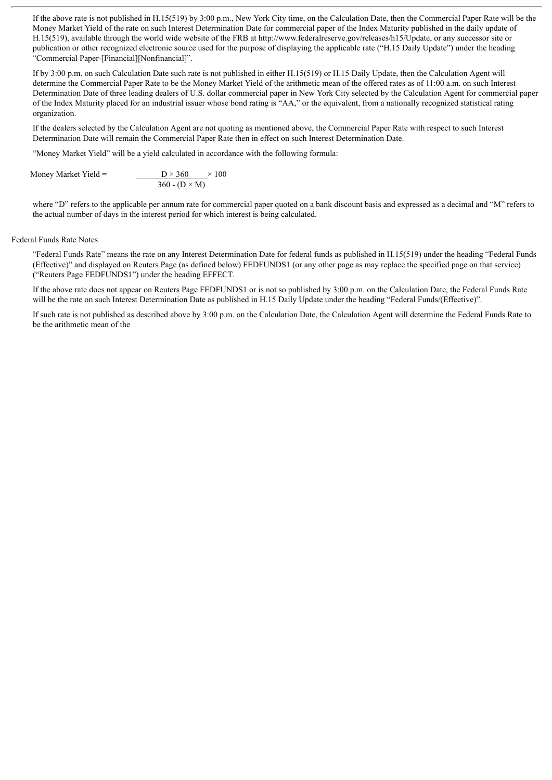If the above rate is not published in H.15(519) by 3:00 p.m., New York City time, on the Calculation Date, then the Commercial Paper Rate will be the Money Market Yield of the rate on such Interest Determination Date for commercial paper of the Index Maturity published in the daily update of H.15(519), available through the world wide website of the FRB at http://www.federalreserve.gov/releases/h15/Update, or any successor site or publication or other recognized electronic source used for the purpose of displaying the applicable rate ("H.15 Daily Update") under the heading "Commercial Paper-[Financial][Nonfinancial]".

If by 3:00 p.m. on such Calculation Date such rate is not published in either H.15(519) or H.15 Daily Update, then the Calculation Agent will determine the Commercial Paper Rate to be the Money Market Yield of the arithmetic mean of the offered rates as of 11:00 a.m. on such Interest Determination Date of three leading dealers of U.S. dollar commercial paper in New York City selected by the Calculation Agent for commercial paper of the Index Maturity placed for an industrial issuer whose bond rating is "AA," or the equivalent, from a nationally recognized statistical rating organization.

If the dealers selected by the Calculation Agent are not quoting as mentioned above, the Commercial Paper Rate with respect to such Interest Determination Date will remain the Commercial Paper Rate then in effect on such Interest Determination Date.

"Money Market Yield" will be a yield calculated in accordance with the following formula:

Money Market Yield =  $D \times 360 \times 100$  $360 - (D \times M)$ 

where "D" refers to the applicable per annum rate for commercial paper quoted on a bank discount basis and expressed as a decimal and "M" refers to the actual number of days in the interest period for which interest is being calculated.

#### Federal Funds Rate Notes

"Federal Funds Rate" means the rate on any Interest Determination Date for federal funds as published in H.15(519) under the heading "Federal Funds (Effective)" and displayed on Reuters Page (as defined below) FEDFUNDS1 (or any other page as may replace the specified page on that service) ("Reuters Page FEDFUNDS1") under the heading EFFECT.

If the above rate does not appear on Reuters Page FEDFUNDS1 or is not so published by 3:00 p.m. on the Calculation Date, the Federal Funds Rate will be the rate on such Interest Determination Date as published in H.15 Daily Update under the heading "Federal Funds/(Effective)".

If such rate is not published as described above by 3:00 p.m. on the Calculation Date, the Calculation Agent will determine the Federal Funds Rate to be the arithmetic mean of the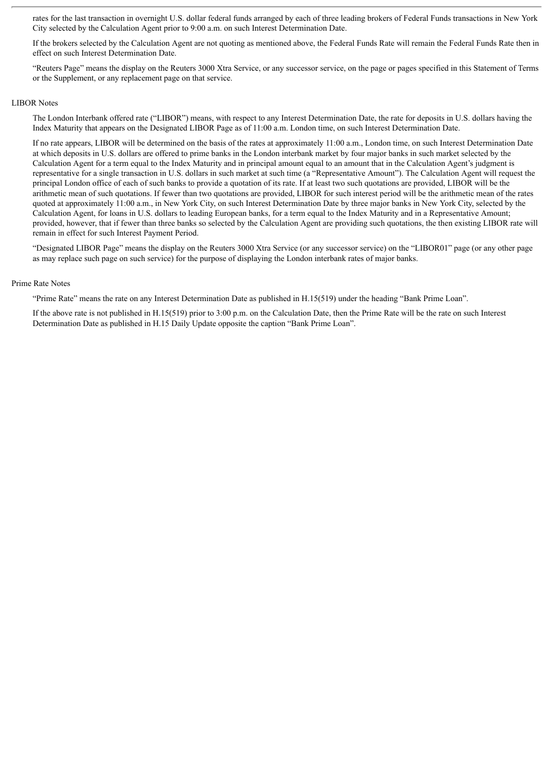rates for the last transaction in overnight U.S. dollar federal funds arranged by each of three leading brokers of Federal Funds transactions in New York City selected by the Calculation Agent prior to 9:00 a.m. on such Interest Determination Date.

If the brokers selected by the Calculation Agent are not quoting as mentioned above, the Federal Funds Rate will remain the Federal Funds Rate then in effect on such Interest Determination Date.

"Reuters Page" means the display on the Reuters 3000 Xtra Service, or any successor service, on the page or pages specified in this Statement of Terms or the Supplement, or any replacement page on that service.

#### LIBOR Notes

The London Interbank offered rate ("LIBOR") means, with respect to any Interest Determination Date, the rate for deposits in U.S. dollars having the Index Maturity that appears on the Designated LIBOR Page as of 11:00 a.m. London time, on such Interest Determination Date.

If no rate appears, LIBOR will be determined on the basis of the rates at approximately 11:00 a.m., London time, on such Interest Determination Date at which deposits in U.S. dollars are offered to prime banks in the London interbank market by four major banks in such market selected by the Calculation Agent for a term equal to the Index Maturity and in principal amount equal to an amount that in the Calculation Agent's judgment is representative for a single transaction in U.S. dollars in such market at such time (a "Representative Amount"). The Calculation Agent will request the principal London office of each of such banks to provide a quotation of its rate. If at least two such quotations are provided, LIBOR will be the arithmetic mean of such quotations. If fewer than two quotations are provided, LIBOR for such interest period will be the arithmetic mean of the rates quoted at approximately 11:00 a.m., in New York City, on such Interest Determination Date by three major banks in New York City, selected by the Calculation Agent, for loans in U.S. dollars to leading European banks, for a term equal to the Index Maturity and in a Representative Amount; provided, however, that if fewer than three banks so selected by the Calculation Agent are providing such quotations, the then existing LIBOR rate will remain in effect for such Interest Payment Period.

"Designated LIBOR Page" means the display on the Reuters 3000 Xtra Service (or any successor service) on the "LIBOR01" page (or any other page as may replace such page on such service) for the purpose of displaying the London interbank rates of major banks.

#### Prime Rate Notes

"Prime Rate" means the rate on any Interest Determination Date as published in H.15(519) under the heading "Bank Prime Loan".

If the above rate is not published in H.15(519) prior to 3:00 p.m. on the Calculation Date, then the Prime Rate will be the rate on such Interest Determination Date as published in H.15 Daily Update opposite the caption "Bank Prime Loan".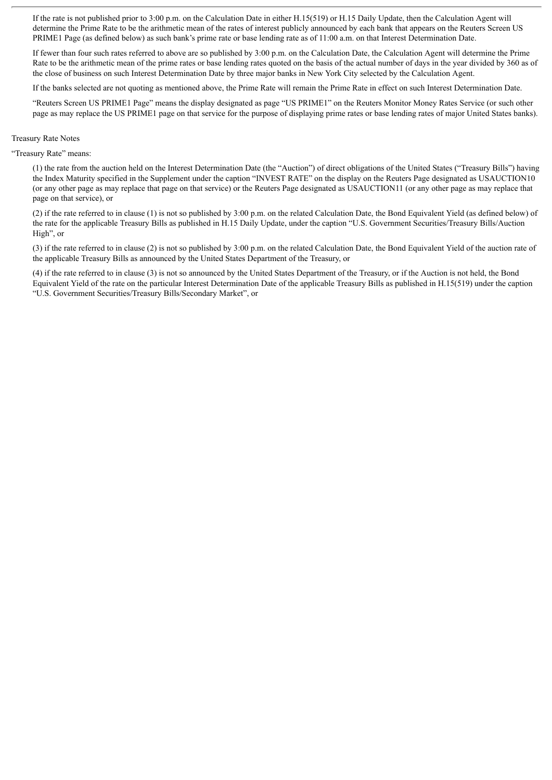If the rate is not published prior to 3:00 p.m. on the Calculation Date in either H.15(519) or H.15 Daily Update, then the Calculation Agent will determine the Prime Rate to be the arithmetic mean of the rates of interest publicly announced by each bank that appears on the Reuters Screen US PRIME1 Page (as defined below) as such bank's prime rate or base lending rate as of 11:00 a.m. on that Interest Determination Date.

If fewer than four such rates referred to above are so published by 3:00 p.m. on the Calculation Date, the Calculation Agent will determine the Prime Rate to be the arithmetic mean of the prime rates or base lending rates quoted on the basis of the actual number of days in the year divided by 360 as of the close of business on such Interest Determination Date by three major banks in New York City selected by the Calculation Agent.

If the banks selected are not quoting as mentioned above, the Prime Rate will remain the Prime Rate in effect on such Interest Determination Date.

"Reuters Screen US PRIME1 Page" means the display designated as page "US PRIME1" on the Reuters Monitor Money Rates Service (or such other page as may replace the US PRIME1 page on that service for the purpose of displaying prime rates or base lending rates of major United States banks).

#### Treasury Rate Notes

"Treasury Rate" means:

(1) the rate from the auction held on the Interest Determination Date (the "Auction") of direct obligations of the United States ("Treasury Bills") having the Index Maturity specified in the Supplement under the caption "INVEST RATE" on the display on the Reuters Page designated as USAUCTION10 (or any other page as may replace that page on that service) or the Reuters Page designated as USAUCTION11 (or any other page as may replace that page on that service), or

(2) if the rate referred to in clause (1) is not so published by 3:00 p.m. on the related Calculation Date, the Bond Equivalent Yield (as defined below) of the rate for the applicable Treasury Bills as published in H.15 Daily Update, under the caption "U.S. Government Securities/Treasury Bills/Auction High", or

(3) if the rate referred to in clause (2) is not so published by 3:00 p.m. on the related Calculation Date, the Bond Equivalent Yield of the auction rate of the applicable Treasury Bills as announced by the United States Department of the Treasury, or

(4) if the rate referred to in clause (3) is not so announced by the United States Department of the Treasury, or if the Auction is not held, the Bond Equivalent Yield of the rate on the particular Interest Determination Date of the applicable Treasury Bills as published in H.15(519) under the caption "U.S. Government Securities/Treasury Bills/Secondary Market", or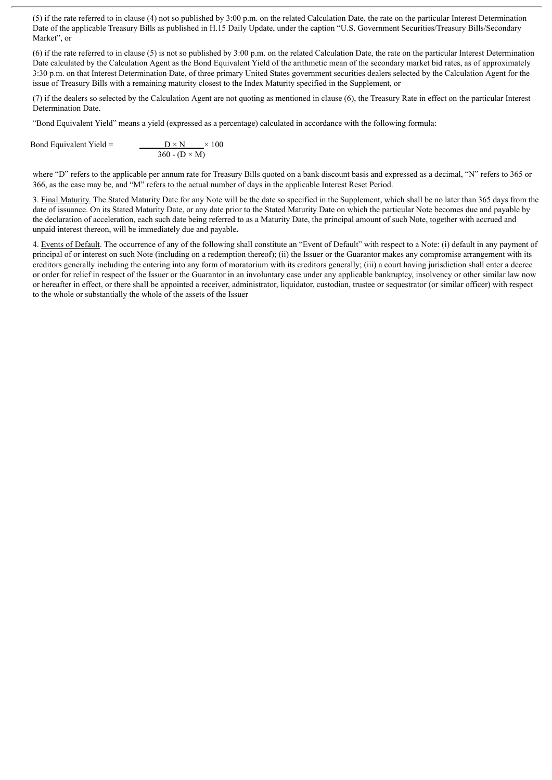(5) if the rate referred to in clause (4) not so published by 3:00 p.m. on the related Calculation Date, the rate on the particular Interest Determination Date of the applicable Treasury Bills as published in H.15 Daily Update, under the caption "U.S. Government Securities/Treasury Bills/Secondary Market", or

(6) if the rate referred to in clause (5) is not so published by 3:00 p.m. on the related Calculation Date, the rate on the particular Interest Determination Date calculated by the Calculation Agent as the Bond Equivalent Yield of the arithmetic mean of the secondary market bid rates, as of approximately 3:30 p.m. on that Interest Determination Date, of three primary United States government securities dealers selected by the Calculation Agent for the issue of Treasury Bills with a remaining maturity closest to the Index Maturity specified in the Supplement, or

(7) if the dealers so selected by the Calculation Agent are not quoting as mentioned in clause (6), the Treasury Rate in effect on the particular Interest Determination Date.

"Bond Equivalent Yield" means a yield (expressed as a percentage) calculated in accordance with the following formula:

Bond Equivalent Yield  $=$  $\frac{D \times N}{360 - (D \times M)} \times 100$ 

where "D" refers to the applicable per annum rate for Treasury Bills quoted on a bank discount basis and expressed as a decimal, "N" refers to 365 or 366, as the case may be, and "M" refers to the actual number of days in the applicable Interest Reset Period.

3. Final Maturity. The Stated Maturity Date for any Note will be the date so specified in the Supplement, which shall be no later than 365 days from the date of issuance. On its Stated Maturity Date, or any date prior to the Stated Maturity Date on which the particular Note becomes due and payable by the declaration of acceleration, each such date being referred to as a Maturity Date, the principal amount of such Note, together with accrued and unpaid interest thereon, will be immediately due and payable**.**

4. Events of Default. The occurrence of any of the following shall constitute an "Event of Default" with respect to a Note: (i) default in any payment of principal of or interest on such Note (including on a redemption thereof); (ii) the Issuer or the Guarantor makes any compromise arrangement with its creditors generally including the entering into any form of moratorium with its creditors generally; (iii) a court having jurisdiction shall enter a decree or order for relief in respect of the Issuer or the Guarantor in an involuntary case under any applicable bankruptcy, insolvency or other similar law now or hereafter in effect, or there shall be appointed a receiver, administrator, liquidator, custodian, trustee or sequestrator (or similar officer) with respect to the whole or substantially the whole of the assets of the Issuer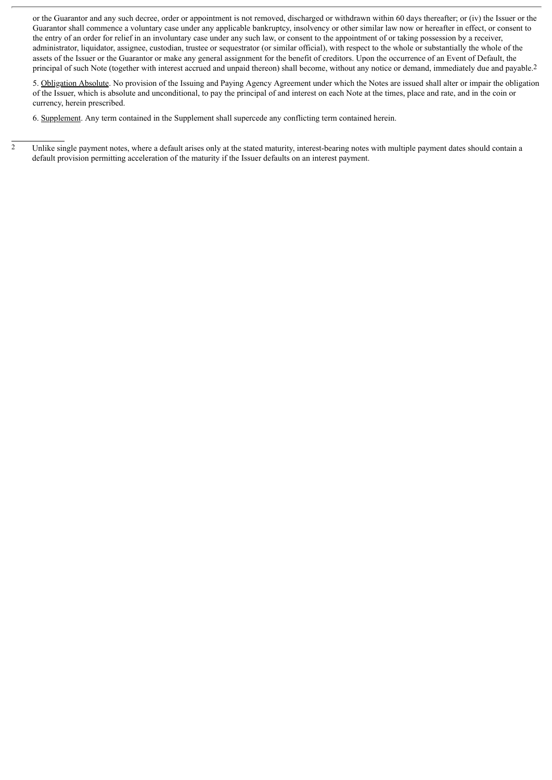or the Guarantor and any such decree, order or appointment is not removed, discharged or withdrawn within 60 days thereafter; or (iv) the Issuer or the Guarantor shall commence a voluntary case under any applicable bankruptcy, insolvency or other similar law now or hereafter in effect, or consent to the entry of an order for relief in an involuntary case under any such law, or consent to the appointment of or taking possession by a receiver, administrator, liquidator, assignee, custodian, trustee or sequestrator (or similar official), with respect to the whole or substantially the whole of the assets of the Issuer or the Guarantor or make any general assignment for the benefit of creditors. Upon the occurrence of an Event of Default, the principal of such Note (together with interest accrued and unpaid thereon) shall become, without any notice or demand, immediately due and payable.2

5. Obligation Absolute. No provision of the Issuing and Paying Agency Agreement under which the Notes are issued shall alter or impair the obligation of the Issuer, which is absolute and unconditional, to pay the principal of and interest on each Note at the times, place and rate, and in the coin or currency, herein prescribed.

6. Supplement. Any term contained in the Supplement shall supercede any conflicting term contained herein.

 $\overline{2}$  Unlike single payment notes, where a default arises only at the stated maturity, interest-bearing notes with multiple payment dates should contain a default provision permitting acceleration of the maturity if the Issuer defaults on an interest payment.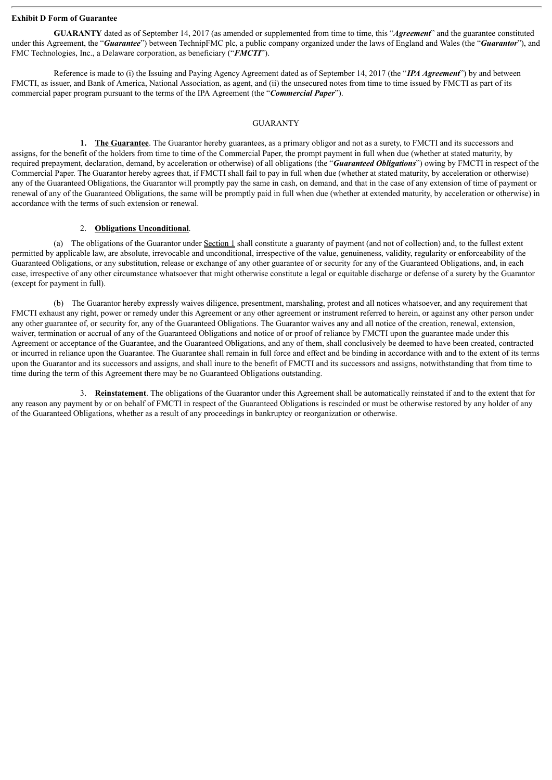#### **Exhibit D Form of Guarantee**

**GUARANTY** dated as of September 14, 2017 (as amended or supplemented from time to time, this "*Agreement*" and the guarantee constituted under this Agreement, the "*Guarantee*") between TechnipFMC plc, a public company organized under the laws of England and Wales (the "*Guarantor*"), and FMC Technologies, Inc., a Delaware corporation, as beneficiary ("*FMCTI*").

Reference is made to (i) the Issuing and Paying Agency Agreement dated as of September 14, 2017 (the "*IPA Agreement*") by and between FMCTI, as issuer, and Bank of America, National Association, as agent, and (ii) the unsecured notes from time to time issued by FMCTI as part of its commercial paper program pursuant to the terms of the IPA Agreement (the "*Commercial Paper*").

#### **GUARANTY**

**1. The Guarantee**. The Guarantor hereby guarantees, as a primary obligor and not as a surety, to FMCTI and its successors and assigns, for the benefit of the holders from time to time of the Commercial Paper, the prompt payment in full when due (whether at stated maturity, by required prepayment, declaration, demand, by acceleration or otherwise) of all obligations (the "*Guaranteed Obligations*") owing by FMCTI in respect of the Commercial Paper. The Guarantor hereby agrees that, if FMCTI shall fail to pay in full when due (whether at stated maturity, by acceleration or otherwise) any of the Guaranteed Obligations, the Guarantor will promptly pay the same in cash, on demand, and that in the case of any extension of time of payment or renewal of any of the Guaranteed Obligations, the same will be promptly paid in full when due (whether at extended maturity, by acceleration or otherwise) in accordance with the terms of such extension or renewal.

#### 2. **Obligations Unconditional**.

(a) The obligations of the Guarantor under Section 1 shall constitute a guaranty of payment (and not of collection) and, to the fullest extent permitted by applicable law, are absolute, irrevocable and unconditional, irrespective of the value, genuineness, validity, regularity or enforceability of the Guaranteed Obligations, or any substitution, release or exchange of any other guarantee of or security for any of the Guaranteed Obligations, and, in each case, irrespective of any other circumstance whatsoever that might otherwise constitute a legal or equitable discharge or defense of a surety by the Guarantor (except for payment in full).

(b) The Guarantor hereby expressly waives diligence, presentment, marshaling, protest and all notices whatsoever, and any requirement that FMCTI exhaust any right, power or remedy under this Agreement or any other agreement or instrument referred to herein, or against any other person under any other guarantee of, or security for, any of the Guaranteed Obligations. The Guarantor waives any and all notice of the creation, renewal, extension, waiver, termination or accrual of any of the Guaranteed Obligations and notice of or proof of reliance by FMCTI upon the guarantee made under this Agreement or acceptance of the Guarantee, and the Guaranteed Obligations, and any of them, shall conclusively be deemed to have been created, contracted or incurred in reliance upon the Guarantee. The Guarantee shall remain in full force and effect and be binding in accordance with and to the extent of its terms upon the Guarantor and its successors and assigns, and shall inure to the benefit of FMCTI and its successors and assigns, notwithstanding that from time to time during the term of this Agreement there may be no Guaranteed Obligations outstanding.

3. **Reinstatement**. The obligations of the Guarantor under this Agreement shall be automatically reinstated if and to the extent that for any reason any payment by or on behalf of FMCTI in respect of the Guaranteed Obligations is rescinded or must be otherwise restored by any holder of any of the Guaranteed Obligations, whether as a result of any proceedings in bankruptcy or reorganization or otherwise.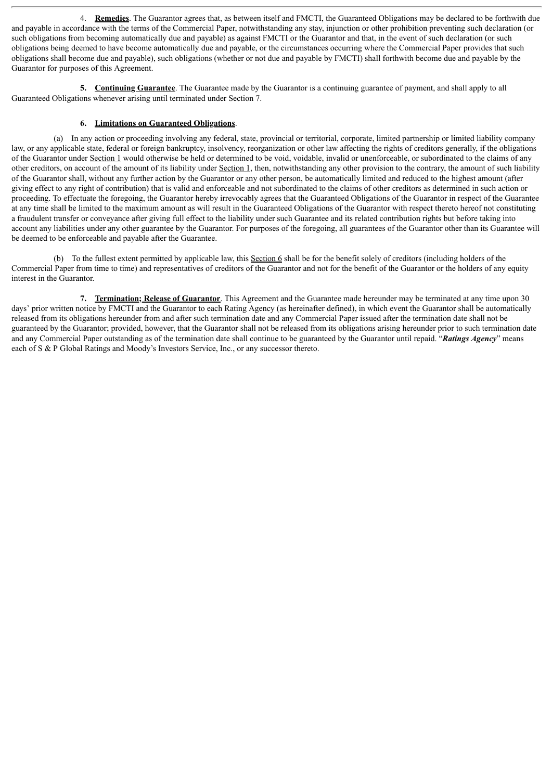4. **Remedies**. The Guarantor agrees that, as between itself and FMCTI, the Guaranteed Obligations may be declared to be forthwith due and payable in accordance with the terms of the Commercial Paper, notwithstanding any stay, injunction or other prohibition preventing such declaration (or such obligations from becoming automatically due and payable) as against FMCTI or the Guarantor and that, in the event of such declaration (or such obligations being deemed to have become automatically due and payable, or the circumstances occurring where the Commercial Paper provides that such obligations shall become due and payable), such obligations (whether or not due and payable by FMCTI) shall forthwith become due and payable by the Guarantor for purposes of this Agreement.

**5. Continuing Guarantee**. The Guarantee made by the Guarantor is a continuing guarantee of payment, and shall apply to all Guaranteed Obligations whenever arising until terminated under Section 7.

#### **6. Limitations on Guaranteed Obligations**.

(a) In any action or proceeding involving any federal, state, provincial or territorial, corporate, limited partnership or limited liability company law, or any applicable state, federal or foreign bankruptcy, insolvency, reorganization or other law affecting the rights of creditors generally, if the obligations of the Guarantor under Section 1 would otherwise be held or determined to be void, voidable, invalid or unenforceable, or subordinated to the claims of any other creditors, on account of the amount of its liability under Section 1, then, notwithstanding any other provision to the contrary, the amount of such liability of the Guarantor shall, without any further action by the Guarantor or any other person, be automatically limited and reduced to the highest amount (after giving effect to any right of contribution) that is valid and enforceable and not subordinated to the claims of other creditors as determined in such action or proceeding. To effectuate the foregoing, the Guarantor hereby irrevocably agrees that the Guaranteed Obligations of the Guarantor in respect of the Guarantee at any time shall be limited to the maximum amount as will result in the Guaranteed Obligations of the Guarantor with respect thereto hereof not constituting a fraudulent transfer or conveyance after giving full effect to the liability under such Guarantee and its related contribution rights but before taking into account any liabilities under any other guarantee by the Guarantor. For purposes of the foregoing, all guarantees of the Guarantor other than its Guarantee will be deemed to be enforceable and payable after the Guarantee.

(b) To the fullest extent permitted by applicable law, this Section 6 shall be for the benefit solely of creditors (including holders of the Commercial Paper from time to time) and representatives of creditors of the Guarantor and not for the benefit of the Guarantor or the holders of any equity interest in the Guarantor.

**7. Termination; Release of Guarantor**. This Agreement and the Guarantee made hereunder may be terminated at any time upon 30 days' prior written notice by FMCTI and the Guarantor to each Rating Agency (as hereinafter defined), in which event the Guarantor shall be automatically released from its obligations hereunder from and after such termination date and any Commercial Paper issued after the termination date shall not be guaranteed by the Guarantor; provided, however, that the Guarantor shall not be released from its obligations arising hereunder prior to such termination date and any Commercial Paper outstanding as of the termination date shall continue to be guaranteed by the Guarantor until repaid. "*Ratings Agency*" means each of S & P Global Ratings and Moody's Investors Service, Inc., or any successor thereto.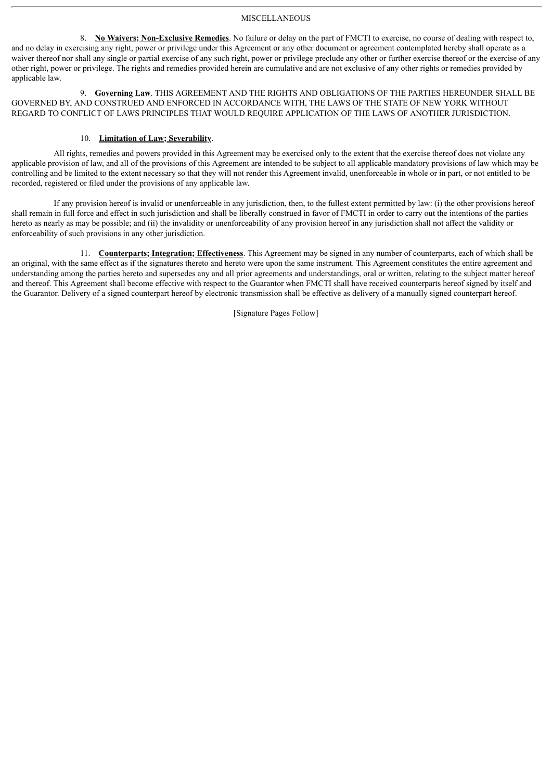#### **MISCELLANEOUS**

8. **No Waivers; Non-Exclusive Remedies**. No failure or delay on the part of FMCTI to exercise, no course of dealing with respect to, and no delay in exercising any right, power or privilege under this Agreement or any other document or agreement contemplated hereby shall operate as a waiver thereof nor shall any single or partial exercise of any such right, power or privilege preclude any other or further exercise thereof or the exercise of any other right, power or privilege. The rights and remedies provided herein are cumulative and are not exclusive of any other rights or remedies provided by applicable law.

9. **Governing Law**. THIS AGREEMENT AND THE RIGHTS AND OBLIGATIONS OF THE PARTIES HEREUNDER SHALL BE GOVERNED BY, AND CONSTRUED AND ENFORCED IN ACCORDANCE WITH, THE LAWS OF THE STATE OF NEW YORK WITHOUT REGARD TO CONFLICT OF LAWS PRINCIPLES THAT WOULD REQUIRE APPLICATION OF THE LAWS OF ANOTHER JURISDICTION.

#### 10. **Limitation of Law; Severability**.

All rights, remedies and powers provided in this Agreement may be exercised only to the extent that the exercise thereof does not violate any applicable provision of law, and all of the provisions of this Agreement are intended to be subject to all applicable mandatory provisions of law which may be controlling and be limited to the extent necessary so that they will not render this Agreement invalid, unenforceable in whole or in part, or not entitled to be recorded, registered or filed under the provisions of any applicable law.

If any provision hereof is invalid or unenforceable in any jurisdiction, then, to the fullest extent permitted by law: (i) the other provisions hereof shall remain in full force and effect in such jurisdiction and shall be liberally construed in favor of FMCTI in order to carry out the intentions of the parties hereto as nearly as may be possible; and (ii) the invalidity or unenforceability of any provision hereof in any jurisdiction shall not affect the validity or enforceability of such provisions in any other jurisdiction.

11. **Counterparts; Integration; Effectiveness**. This Agreement may be signed in any number of counterparts, each of which shall be an original, with the same effect as if the signatures thereto and hereto were upon the same instrument. This Agreement constitutes the entire agreement and understanding among the parties hereto and supersedes any and all prior agreements and understandings, oral or written, relating to the subject matter hereof and thereof. This Agreement shall become effective with respect to the Guarantor when FMCTI shall have received counterparts hereof signed by itself and the Guarantor. Delivery of a signed counterpart hereof by electronic transmission shall be effective as delivery of a manually signed counterpart hereof.

[Signature Pages Follow]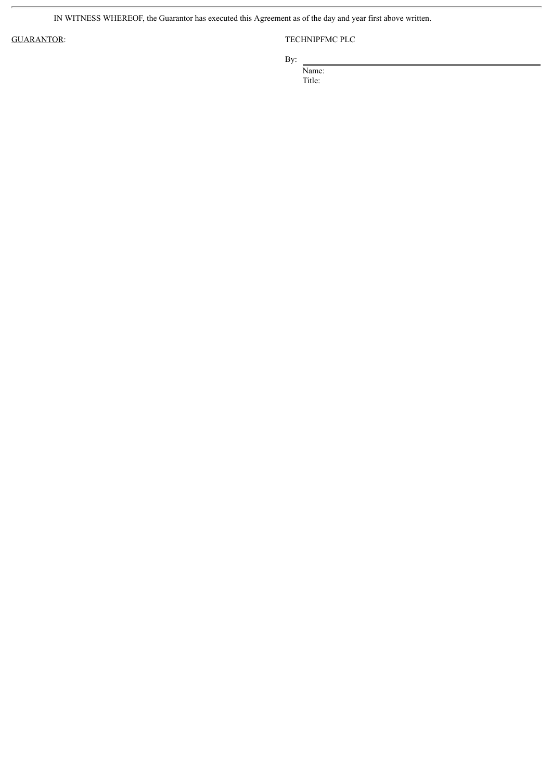IN WITNESS WHEREOF, the Guarantor has executed this Agreement as of the day and year first above written.

### GUARANTOR: TECHNIPFMC PLC

By:

Name:

Title: